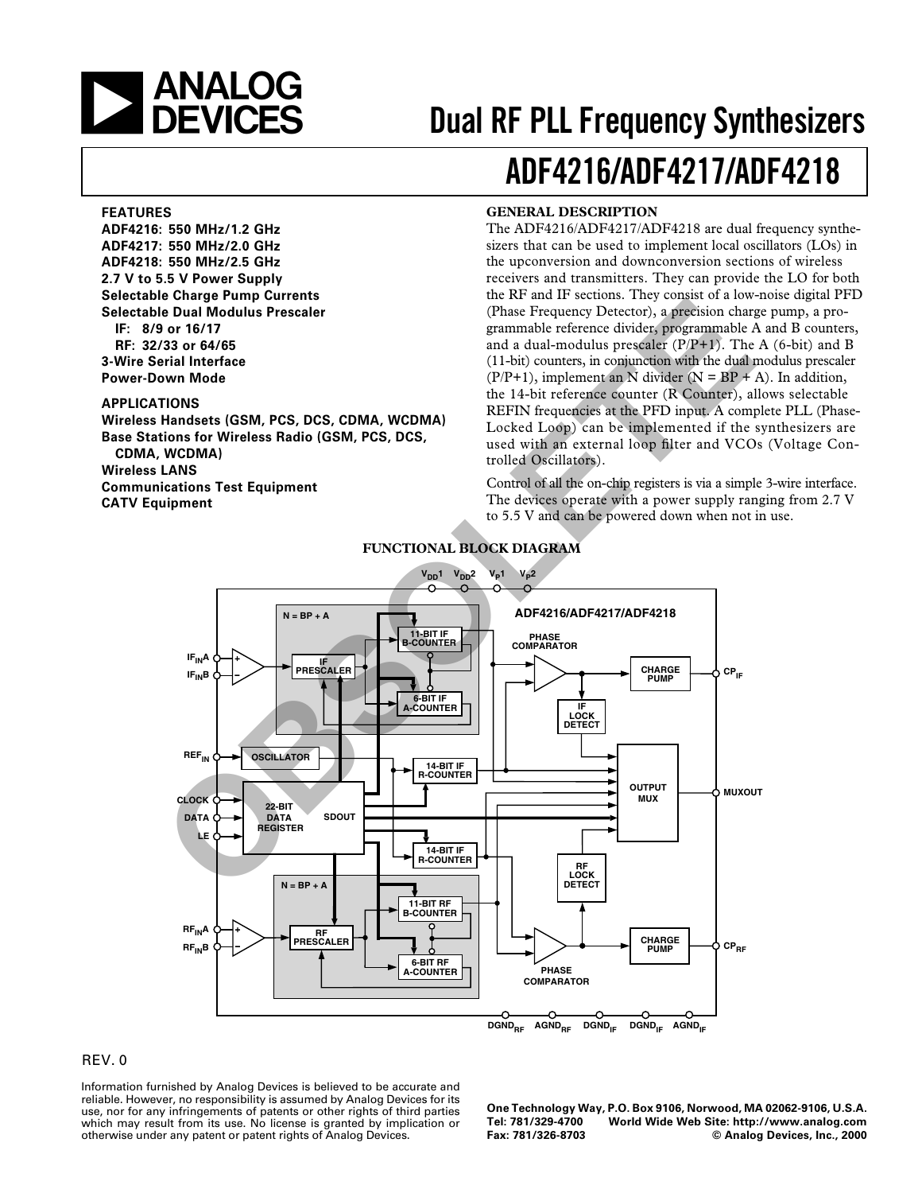

# **Dual RF PLL Frequency Synthesizers**

# **ADF4216/ADF4217/ADF4218**

#### **FEATURES**

**ADF4216: 550 MHz/1.2 GHz ADF4217: 550 MHz/2.0 GHz ADF4218: 550 MHz/2.5 GHz 2.7 V to 5.5 V Power Supply Selectable Charge Pump Currents Selectable Dual Modulus Prescaler IF: 8/9 or 16/17 RF: 32/33 or 64/65 3-Wire Serial Interface**

# **APPLICATIONS**

**Power-Down Mode**

**Wireless Handsets (GSM, PCS, DCS, CDMA, WCDMA) Base Stations for Wireless Radio (GSM, PCS, DCS, CDMA, WCDMA) Wireless LANS**

**Communications Test Equipment CATV Equipment**

### **GENERAL DESCRIPTION**

The ADF4216/ADF4217/ADF4218 are dual frequency synthesizers that can be used to implement local oscillators (LOs) in the upconversion and downconversion sections of wireless receivers and transmitters. They can provide the LO for both the RF and IF sections. They consist of a low-noise digital PFD (Phase Frequency Detector), a precision charge pump, a programmable reference divider, programmable A and B counters, and a dual-modulus prescaler  $(P/P+1)$ . The A (6-bit) and B (11-bit) counters, in conjunction with the dual modulus prescaler  $(P/P+1)$ , implement an N divider  $(N = BP + A)$ . In addition, the 14-bit reference counter (R Counter), allows selectable REFIN frequencies at the PFD input. A complete PLL (Phase-Locked Loop) can be implemented if the synthesizers are used with an external loop filter and VCOs (Voltage Controlled Oscillators).

Control of all the on-chip registers is via a simple 3-wire interface. The devices operate with a power supply ranging from 2.7 V to 5.5 V and can be powered down when not in use.



### **FUNCTIONAL BLOCK DIAGRAM**

# REV. 0

Information furnished by Analog Devices is believed to be accurate and reliable. However, no responsibility is assumed by Analog Devices for its use, nor for any infringements of patents or other rights of third parties which may result from its use. No license is granted by implication or otherwise under any patent or patent rights of Analog Devices.

**One Technology Way, P.O. Box 9106, Norwood, MA 02062-9106, U.S.A. Tel: 781/329-4700 World Wide Web Site: http://www.analog.com Fax: 781/326-8703 © Analog Devices, Inc., 2000**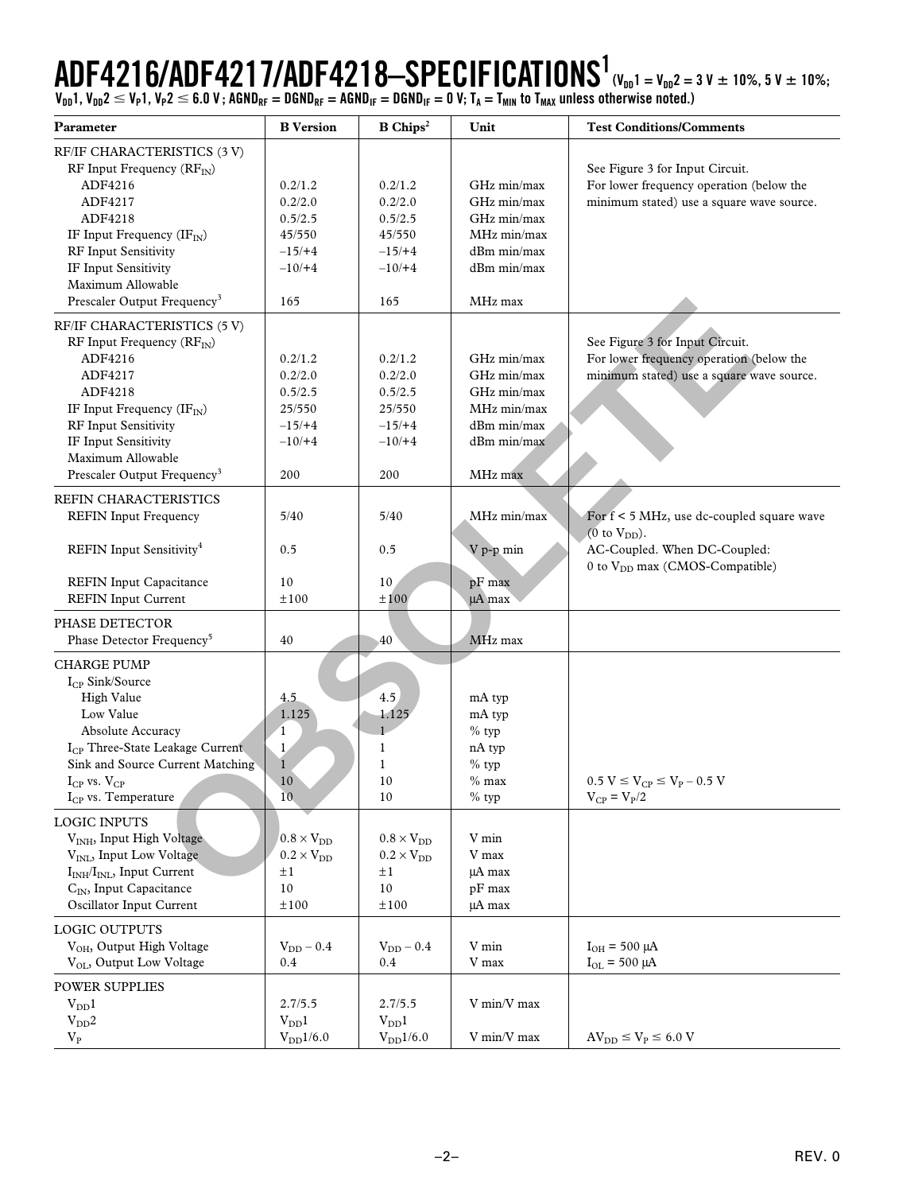# $\mathbf{ADF4216} / \mathbf{ADF4217} / \mathbf{ADF4218} - \mathbf{SPECIFICATIONS}^1_{(\mathsf{V_{DD}1}= \mathsf{V_{DD}2}=3 \mathsf{V}~\pm~10 \mathsf{\%},~5 \mathsf{V}~\pm~10 \mathsf{\%};}$

**VDD1, VDD2 VP1, VP2 6.0 V ; AGNDRF = DGNDRF = AGNDIF = DGNDIF = 0 V; TA = TMIN to TMAX unless otherwise noted.)**

| Parameter                                    | <b>B</b> Version           | $B$ Chips <sup>2</sup> | Unit          | <b>Test Conditions/Comments</b>             |
|----------------------------------------------|----------------------------|------------------------|---------------|---------------------------------------------|
| RF/IF CHARACTERISTICS (3 V)                  |                            |                        |               |                                             |
| RF Input Frequency $(RF_N)$                  |                            |                        |               | See Figure 3 for Input Circuit.             |
| ADF4216                                      | 0.2/1.2                    | 0.2/1.2                | GHz min/max   | For lower frequency operation (below the    |
| ADF4217                                      | 0.2/2.0                    | 0.2/2.0                | GHz min/max   | minimum stated) use a square wave source.   |
| ADF4218                                      | 0.5/2.5                    | 0.5/2.5                | GHz min/max   |                                             |
| IF Input Frequency $(\text{IF}_{\text{IN}})$ | 45/550                     | 45/550                 | MHz min/max   |                                             |
| RF Input Sensitivity                         | $-15/ +4$                  | $-15/ +4$              | dBm min/max   |                                             |
| IF Input Sensitivity                         | $-10/+4$                   | $-10/+4$               | dBm min/max   |                                             |
| Maximum Allowable                            |                            |                        |               |                                             |
| Prescaler Output Frequency <sup>3</sup>      | 165                        | 165                    | MHz max       |                                             |
| RF/IF CHARACTERISTICS (5 V)                  |                            |                        |               |                                             |
| RF Input Frequency $(RF_N)$                  |                            |                        |               | See Figure 3 for Input Circuit.             |
| ADF4216                                      | 0.2/1.2                    | 0.2/1.2                | GHz min/max   | For lower frequency operation (below the    |
| ADF4217                                      | 0.2/2.0                    | 0.2/2.0                | GHz min/max   | minimum stated) use a square wave source.   |
| ADF4218                                      | 0.5/2.5                    | 0.5/2.5                | GHz min/max   |                                             |
| IF Input Frequency $(\text{IF}_{\text{IN}})$ | 25/550                     | 25/550                 | MHz min/max   |                                             |
| RF Input Sensitivity                         | $-15/ +4$                  | $-15/ +4$              | dBm min/max   |                                             |
| IF Input Sensitivity                         | $-10/+4$                   | $-10/+4$               | dBm min/max   |                                             |
| Maximum Allowable                            |                            |                        |               |                                             |
| Prescaler Output Frequency <sup>3</sup>      | 200                        | 200                    | MHz max       |                                             |
| REFIN CHARACTERISTICS                        |                            |                        |               |                                             |
| <b>REFIN Input Frequency</b>                 | 5/40                       | 5/40                   | MHz min/max   | For $f < 5$ MHz, use dc-coupled square wave |
|                                              |                            |                        |               | $(0 \text{ to } V_{DD})$ .                  |
| REFIN Input Sensitivity <sup>4</sup>         | 0.5                        | 0.5                    | V p-p min     | AC-Coupled. When DC-Coupled:                |
| <b>REFIN Input Capacitance</b>               | 10                         | 10                     | pF max        | 0 to V <sub>DD</sub> max (CMOS-Compatible)  |
| <b>REFIN Input Current</b>                   | ±100                       | ±100                   | µA max        |                                             |
|                                              |                            |                        |               |                                             |
| PHASE DETECTOR                               |                            |                        |               |                                             |
| Phase Detector Frequency <sup>5</sup>        | 40                         | 40                     | MHz max       |                                             |
| <b>CHARGE PUMP</b>                           |                            |                        |               |                                             |
| I <sub>CP</sub> Sink/Source                  |                            |                        |               |                                             |
| High Value                                   | 4.5                        | 4.5                    | mA typ        |                                             |
| Low Value                                    | 1.125                      | 1.125                  | mA typ        |                                             |
| Absolute Accuracy                            | $\mathbf{1}$               |                        | $%$ typ       |                                             |
| I <sub>CP</sub> Three-State Leakage Current  | $\mathbf{1}$               | 1                      | nA typ        |                                             |
| Sink and Source Current Matching             | $\mathbf{1}$               | $\mathbf{1}$           | $%$ typ       |                                             |
| $I_{CP}$ vs. $V_{CP}$                        | 10                         | 10                     | $%$ max       | $0.5 V \le V_{CP} \le V_P - 0.5 V$          |
| $I_{CP}$ vs. Temperature                     | 10 <sub>1</sub>            | 10                     | $\%$ typ      | $V_{CP} = V_P/2$                            |
| <b>LOGIC INPUTS</b>                          |                            |                        |               |                                             |
| V <sub>INH</sub> , Input High Voltage        | $0.8\times\mathrm{V_{DD}}$ | $0.8 \times V_{DD}$    | V min         |                                             |
| V <sub>INL</sub> , Input Low Voltage         | $0.2 \times V_{DD}$        | $0.2 \times V_{DD}$    | V max         |                                             |
| $I_{INH}/I_{INL}$ , Input Current            | ±1                         | $\pm 1$                | µA max        |                                             |
| C <sub>IN</sub> , Input Capacitance          | 10                         | 10                     | $pF$ max      |                                             |
| Oscillator Input Current                     | ±100                       | ±100                   | µA max        |                                             |
| LOGIC OUTPUTS                                |                            |                        |               |                                             |
|                                              |                            |                        |               |                                             |
| V <sub>OH</sub> , Output High Voltage        | $V_{\rm DD}$ – $0.4$       | $V_{DD}$ – 0.4         | ${\rm V}$ min | $I_{OH}$ = 500 µA                           |
| V <sub>OL</sub> , Output Low Voltage         | 0.4                        | 0.4                    | V max         | $I_{OL}$ = 500 µA                           |
| <b>POWER SUPPLIES</b>                        |                            |                        |               |                                             |
| $V_{DD}1$                                    | 2.7/5.5                    | 2.7/5.5                | V min/V max   |                                             |
| $V_{DD}2$                                    | $V_{DD}1$                  | $V_{DD}1$              |               |                                             |
| $\rm V_P$                                    | $V_{DD}1/6.0$              | $\rm V_{DD}1/6.0$      | V min/V max   | $AV_{DD} \leq V_P \leq 6.0 V$               |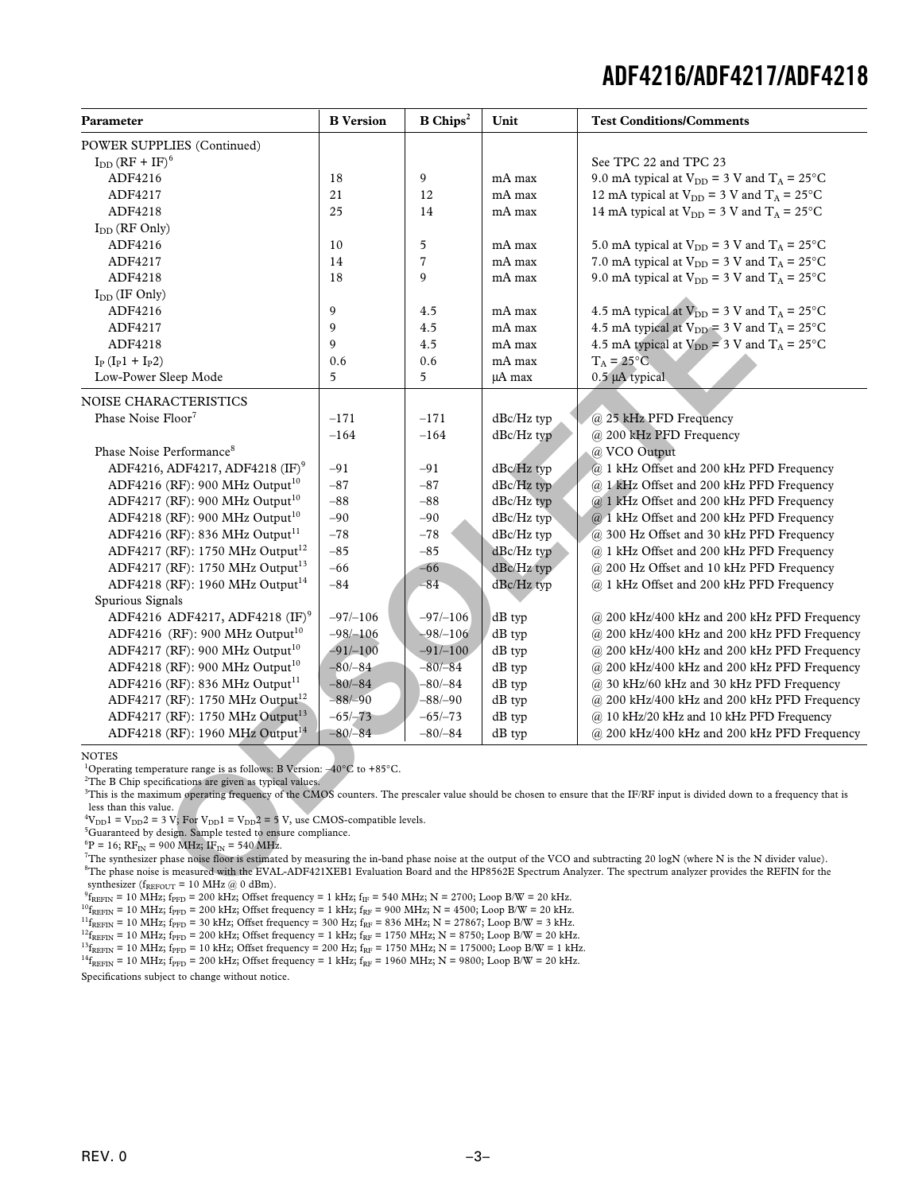| Parameter                                                                                                                                                                                                                                                                    | <b>B</b> Version | $\mathbf B$ Chips <sup>2</sup> | Unit          | <b>Test Conditions/Comments</b>                                                                                                                                                       |
|------------------------------------------------------------------------------------------------------------------------------------------------------------------------------------------------------------------------------------------------------------------------------|------------------|--------------------------------|---------------|---------------------------------------------------------------------------------------------------------------------------------------------------------------------------------------|
| <b>POWER SUPPLIES (Continued)</b>                                                                                                                                                                                                                                            |                  |                                |               |                                                                                                                                                                                       |
| $I_{DD}$ (RF + IF) <sup>6</sup>                                                                                                                                                                                                                                              |                  |                                |               | See TPC 22 and TPC 23                                                                                                                                                                 |
| ADF4216                                                                                                                                                                                                                                                                      | 18               | 9                              | mA max        | 9.0 mA typical at $V_{DD} = 3$ V and $T_A = 25$ °C                                                                                                                                    |
| ADF4217                                                                                                                                                                                                                                                                      | 21               | 12                             | mA max        | 12 mA typical at $V_{DD} = 3$ V and $T_A = 25$ °C                                                                                                                                     |
| ADF4218                                                                                                                                                                                                                                                                      | 25               | 14                             | mA max        | 14 mA typical at $V_{DD}$ = 3 V and $T_A$ = 25°C                                                                                                                                      |
| $I_{DD}$ (RF Only)                                                                                                                                                                                                                                                           |                  |                                |               |                                                                                                                                                                                       |
| ADF4216                                                                                                                                                                                                                                                                      | 10               | 5                              | mA max        | 5.0 mA typical at $V_{DD}$ = 3 V and $T_A$ = 25°C                                                                                                                                     |
| ADF4217                                                                                                                                                                                                                                                                      | 14               | 7                              | mA max        | 7.0 mA typical at $V_{DD}$ = 3 V and $T_A$ = 25°C                                                                                                                                     |
| ADF4218                                                                                                                                                                                                                                                                      | 18               | 9                              | mA max        | 9.0 mA typical at $V_{DD} = 3$ V and $T_A = 25$ °C                                                                                                                                    |
| $I_{DD}$ (IF Only)                                                                                                                                                                                                                                                           |                  |                                |               |                                                                                                                                                                                       |
| ADF4216                                                                                                                                                                                                                                                                      | 9                | 4.5                            | mA max        | 4.5 mA typical at $V_{DD}$ = 3 V and T <sub>A</sub> = 25°C                                                                                                                            |
| ADF4217                                                                                                                                                                                                                                                                      | 9                | 4.5                            | mA max        | 4.5 mA typical at $V_{DD}$ = 3 V and $T_A$ = 25°C                                                                                                                                     |
| ADF4218                                                                                                                                                                                                                                                                      | 9                | 4.5                            | mA max        | 4.5 mA typical at $V_{DD} = 3$ V and $T_A = 25$ °C                                                                                                                                    |
| $I_{P} (I_{P}1 + I_{P}2)$                                                                                                                                                                                                                                                    | 0.6              | 0.6                            | mA max        | $T_A = 25^{\circ}C$                                                                                                                                                                   |
| Low-Power Sleep Mode                                                                                                                                                                                                                                                         | 5                | 5                              | µA max        | 0.5 µA typical                                                                                                                                                                        |
| NOISE CHARACTERISTICS                                                                                                                                                                                                                                                        |                  |                                |               |                                                                                                                                                                                       |
| Phase Noise Floor <sup>7</sup>                                                                                                                                                                                                                                               | $-171$           | $-171$                         | $dBc/Hz$ typ  | @ 25 kHz PFD Frequency                                                                                                                                                                |
|                                                                                                                                                                                                                                                                              | $-164$           | $-164$                         | $dBc/Hz$ typ  | @ 200 kHz PFD Frequency                                                                                                                                                               |
| Phase Noise Performance <sup>8</sup>                                                                                                                                                                                                                                         |                  |                                |               | @ VCO Output                                                                                                                                                                          |
| ADF4216, ADF4217, ADF4218 (IF) <sup>9</sup>                                                                                                                                                                                                                                  | $-91$            | $-91$                          | $dBc/Hz$ typ  | @ 1 kHz Offset and 200 kHz PFD Frequency                                                                                                                                              |
| ADF4216 (RF): 900 MHz Output <sup>10</sup>                                                                                                                                                                                                                                   | $-87$            | $-87$                          | $dBc/Hz$ typ  | @ 1 kHz Offset and 200 kHz PFD Frequency                                                                                                                                              |
| ADF4217 (RF): 900 MHz Output <sup>10</sup>                                                                                                                                                                                                                                   | $-88$            | $-88$                          | dBc/Hz typ    | @ 1 kHz Offset and 200 kHz PFD Frequency                                                                                                                                              |
| ADF4218 (RF): 900 MHz Output <sup>10</sup>                                                                                                                                                                                                                                   | $-90$            | -90                            | $dBc/Hz$ typ  | @ 1 kHz Offset and 200 kHz PFD Frequency                                                                                                                                              |
| ADF4216 (RF): 836 MHz Output <sup>11</sup>                                                                                                                                                                                                                                   | $-78$            | $-78$                          | $dBc/Hz$ typ  | @ 300 Hz Offset and 30 kHz PFD Frequency                                                                                                                                              |
| ADF4217 (RF): 1750 MHz Output <sup>12</sup>                                                                                                                                                                                                                                  | $-85$            | $-85$                          | $dBc/Hz$ typ  | @ 1 kHz Offset and 200 kHz PFD Frequency                                                                                                                                              |
| ADF4217 (RF): 1750 MHz Output <sup>13</sup>                                                                                                                                                                                                                                  | $-66$            | -66                            | dBc/Hz typ    | @ 200 Hz Offset and 10 kHz PFD Frequency                                                                                                                                              |
| ADF4218 (RF): 1960 MHz Output <sup>14</sup>                                                                                                                                                                                                                                  | $-84$            | -84                            | $dBc/Hz$ typ  | @ 1 kHz Offset and 200 kHz PFD Frequency                                                                                                                                              |
| Spurious Signals                                                                                                                                                                                                                                                             |                  |                                |               |                                                                                                                                                                                       |
| ADF4216 ADF4217, ADF4218 $(IF)^9$                                                                                                                                                                                                                                            | $-97/-106$       | $-97/-106$                     | $dB$ typ      | $\omega$ 200 kHz/400 kHz and 200 kHz PFD Frequency                                                                                                                                    |
| ADF4216 (RF): 900 MHz Output <sup>10</sup>                                                                                                                                                                                                                                   | $-98/-106$       | $-98/-106$                     | dB typ        | @ 200 kHz/400 kHz and 200 kHz PFD Frequency                                                                                                                                           |
| ADF4217 (RF): 900 MHz Output <sup>10</sup>                                                                                                                                                                                                                                   | $-91/-100$       | $-91/-100$                     | $dB$ typ      | @ 200 kHz/400 kHz and 200 kHz PFD Frequency                                                                                                                                           |
| ADF4218 (RF): 900 MHz Output <sup>10</sup>                                                                                                                                                                                                                                   | $-80/-84$        | $-80/-84$                      | $dB$ typ      | $\omega$ 200 kHz/400 kHz and 200 kHz PFD Frequency                                                                                                                                    |
| ADF4216 (RF): 836 MHz Output <sup>11</sup>                                                                                                                                                                                                                                   | $-80/-84$        | $-80/-84$                      | $dB$ typ      | @ 30 kHz/60 kHz and 30 kHz PFD Frequency                                                                                                                                              |
| ADF4217 (RF): 1750 MHz Output <sup>12</sup>                                                                                                                                                                                                                                  | $-88/-90$        | -88/-90                        | $dB$ typ      | @ 200 kHz/400 kHz and 200 kHz PFD Frequency                                                                                                                                           |
| ADF4217 (RF): 1750 MHz Output <sup>13</sup>                                                                                                                                                                                                                                  | $-65/-73$        | $-65/-73$                      | $dB$ typ      | @ 10 kHz/20 kHz and 10 kHz PFD Frequency                                                                                                                                              |
| ADF4218 (RF): 1960 MHz Output <sup>14</sup>                                                                                                                                                                                                                                  | $-80/-84$        | $-80/-84$                      | $dB$ typ      | @ 200 kHz/400 kHz and 200 kHz PFD Frequency                                                                                                                                           |
| <b>NOTES</b><br><sup>1</sup> Operating temperature range is as follows: B Version: $-40^{\circ}$ C to +85 <sup>°</sup> C.<br><sup>2</sup> The B Chip specifications are given as typical values.                                                                             |                  |                                |               | <sup>3</sup> This is the maximum operating frequency of the CMOS counters. The prescaler value should be chosen to ensure that the IF/RF input is divided down to a frequency that is |
| less than this value.<br>${}^{4}V_{DD}1 = V_{DD}2 = 3 V$ ; For $V_{DD}1 = V_{DD}2 = 5 V$ , use CMOS-compatible levels.<br><sup>5</sup> Guaranteed by design. Sample tested to ensure compliance.<br>${}^{6}P = 16$ ; RF <sub>IN</sub> = 900 MHz; IF <sub>IN</sub> = 540 MHz. |                  |                                |               | <sup>7</sup> The synthesizer phase noise floor is estimated by measuring the in-band phase noise at the output of the VCO and subtracting 20 logN (where N is the N divider value).   |
|                                                                                                                                                                                                                                                                              |                  |                                |               | ${}^{8}$ The phase noise is measured with the EVAL-ADF421XEB1 Evaluation Board and the HP8562E Spectrum Analyzer. The spectrum analyzer provides the REFIN for the                    |
| synthesizer ( $f_{REFOUT}$ = 10 MHz @ 0 dBm).                                                                                                                                                                                                                                |                  |                                | $\sim$ $\sim$ |                                                                                                                                                                                       |

 $^{9}$ f<sub>REFIN</sub> = 10 MHz; f<sub>PFD</sub> = 200 kHz; Offset frequency = 1 kHz; f<sub>IF</sub> = 540 MHz; N = 2700; Loop B/W = 20 kHz.

 ${}^{10}f_{REFIN} = 10 \text{ MHz}$ ;  $f_{PFD} = 200 \text{ kHz}$ ; Offset frequency = 1 kHz;  $f_{RF} = 900 \text{ MHz}$ ; N = 4500; Loop B/W = 20 kHz.

 $^{11}$ f<sub>REFIN</sub> = 10 MHz; f<sub>PFD</sub> = 30 kHz; Offset frequency = 300 Hz; f<sub>RF</sub> = 836 MHz; N = 27867; Loop B/W = 3 kHz.

 $^{12}f_{REFIN} = 10 \text{ MHz}; f_{PFD} = 200 \text{ kHz}; \text{ Office frequency} = 1 \text{ kHz}; f_{RF} = 1750 \text{ MHz}; N = 8750; Loop B/W = 20 \text{ kHz}.$ 

 $^{13}$ f<sub>REFIN</sub> = 10 MHz; f<sub>PFD</sub> = 10 kHz; Offset frequency = 200 Hz; f<sub>RF</sub> = 1750 MHz; N = 175000; Loop B/W = 1 kHz.

 $^{14}$ f<sub>REFIN</sub> = 10 MHz; f<sub>FFD</sub> = 200 kHz; Offset frequency = 1 kHz; f<sub>RF</sub> = 1960 MHz; N = 9800; Loop B/W = 20 kHz.

Specifications subject to change without notice.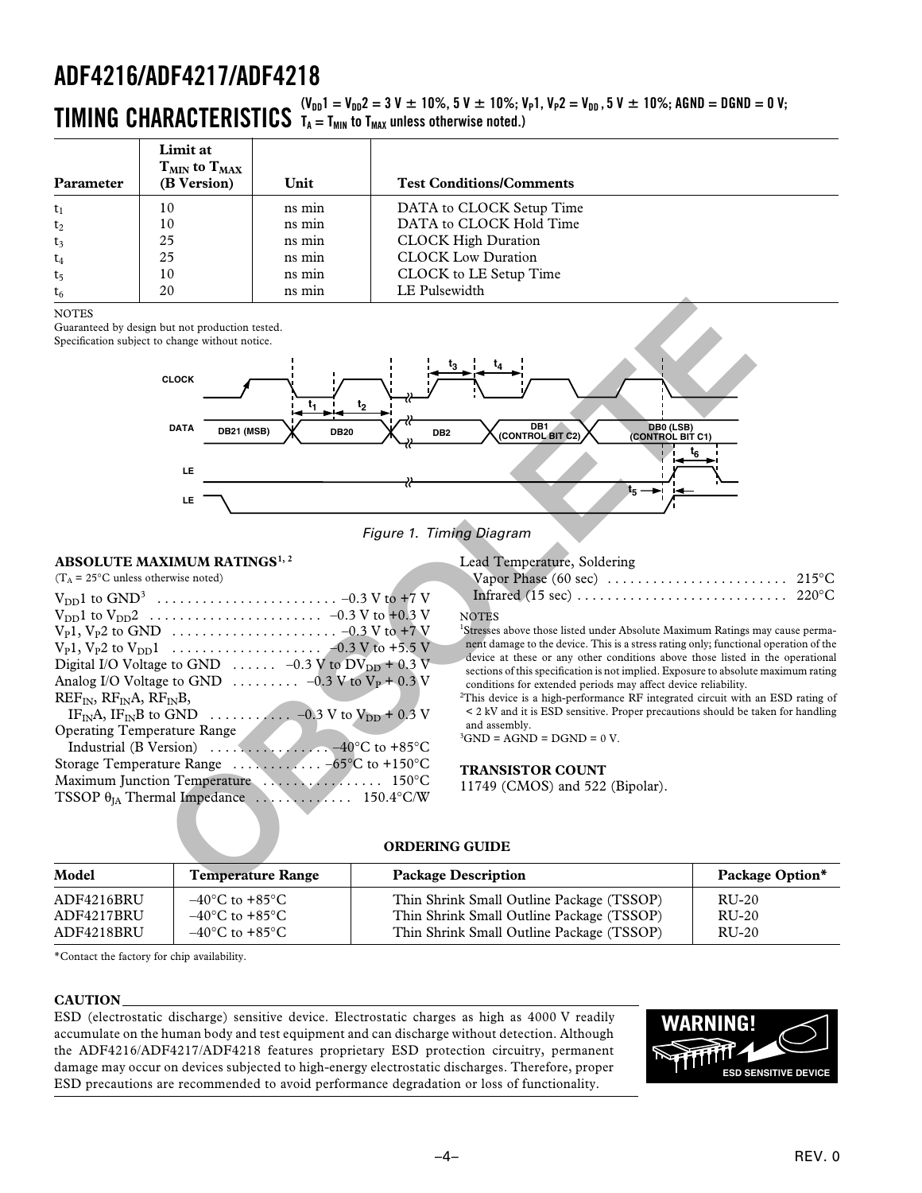# $\bf{TIMING\,\,\, CHARACTERISTICS}\,\,\,\stackrel{(V_{DD}1\,=\,V_{DD}2\,=\,3\,V\,\pm\,10\,\%,\,5\,V\,\pm\,10\,\%;\,V_P1,\,V_P2\,=\,V_{DD}\,,\,5\,V\,\pm\,10\,\%;\,A\text{GND}\,=\,D\,\text{GND}\,=\,0\,\,V;}$  $T_A = T_{MIN}$  to  $T_{MAX}$  unless otherwise noted.)

| Parameter      | Limit at<br>$T_{MIN}$ to $T_{MAX}$<br>(B Version) | Unit   | <b>Test Conditions/Comments</b> |
|----------------|---------------------------------------------------|--------|---------------------------------|
| $t_1$          | 10                                                | ns min | DATA to CLOCK Setup Time        |
| $t_2$          | 10                                                | ns min | DATA to CLOCK Hold Time         |
| $t_3$          | 25                                                | ns min | <b>CLOCK High Duration</b>      |
| $t_4$          | 25                                                | ns min | <b>CLOCK Low Duration</b>       |
| t <sub>5</sub> | 10                                                | ns min | CLOCK to LE Setup Time          |
| $t_6$          | 20                                                | ns min | LE Pulsewidth                   |

**NOTES** 

Guaranteed by design but not production tested.



Figure 1. Timing Diagram

## **ABSOLUTE MAXIMUM RATINGS1, 2**

TSSOP  $\theta_{IA}$  Thermal Impedance  $\ldots \ldots \ldots \ldots$  150.4°C/W

Lead Temperature, Soldering<br>Vapor Phase (60 sec) ....

#### **NOTES**

<sup>1</sup>Stresses above those listed under Absolute Maximum Ratings may cause permanent damage to the device. This is a stress rating only; functional operation of the device at these or any other conditions above those listed in the operational sections of this specification is not implied. Exposure to absolute maximum rating conditions for extended periods may affect device reliability.

 ${}^{2}$ This device is a high-performance RF integrated circuit with an ESD rating of < 2 kV and it is ESD sensitive. Proper precautions should be taken for handling and assembly.

 ${}^{3}$ GND = AGND = DGND = 0 V.

## **TRANSISTOR COUNT**

11749 (CMOS) and 522 (Bipolar).

## **ORDERING GUIDE**

| Model      | <b>Temperature Range</b>           | <b>Package Description</b>                | Package Option* |
|------------|------------------------------------|-------------------------------------------|-----------------|
| ADF4216BRU | $-40^{\circ}$ C to $+85^{\circ}$ C | Thin Shrink Small Outline Package (TSSOP) | RU-20           |
| ADF4217BRU | $-40^{\circ}$ C to $+85^{\circ}$ C | Thin Shrink Small Outline Package (TSSOP) | RU-20           |
| ADF4218BRU | $-40^{\circ}$ C to $+85^{\circ}$ C | Thin Shrink Small Outline Package (TSSOP) | RU-20           |

\*Contact the factory for chip availability.

### **CAUTION**

ESD (electrostatic discharge) sensitive device. Electrostatic charges as high as 4000 V readily accumulate on the human body and test equipment and can discharge without detection. Although the ADF4216/ADF4217/ADF4218 features proprietary ESD protection circuitry, permanent damage may occur on devices subjected to high-energy electrostatic discharges. Therefore, proper ESD precautions are recommended to avoid performance degradation or loss of functionality.

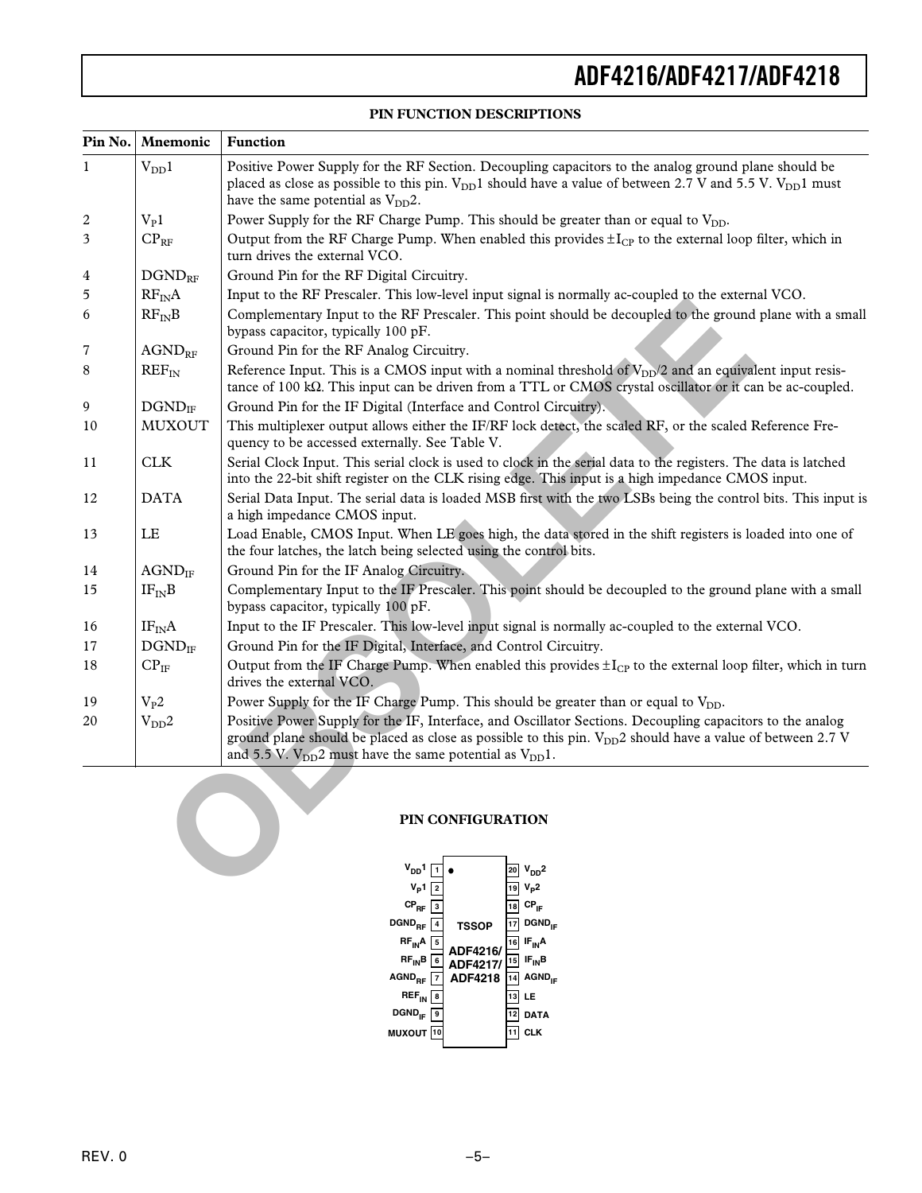# **PIN FUNCTION DESCRIPTIONS**

| $\text{Pin No.}$ | <b>Mnemonic</b>              | <b>Function</b>                                                                                                                                                                                                                                                                                   |
|------------------|------------------------------|---------------------------------------------------------------------------------------------------------------------------------------------------------------------------------------------------------------------------------------------------------------------------------------------------|
| $\mathbf{1}$     | $V_{DD}1$                    | Positive Power Supply for the RF Section. Decoupling capacitors to the analog ground plane should be<br>placed as close as possible to this pin. $V_{DD}1$ should have a value of between 2.7 V and 5.5 V. $V_{DD}1$ must<br>have the same potential as $V_{DD}2$ .                               |
| 2                | $V_{P}1$                     | Power Supply for the RF Charge Pump. This should be greater than or equal to V <sub>DD</sub> .                                                                                                                                                                                                    |
| 3                | $CP_{RF}$                    | Output from the RF Charge Pump. When enabled this provides $\pm I_{CP}$ to the external loop filter, which in<br>turn drives the external VCO.                                                                                                                                                    |
| 4                | $DGND_{RF}$                  | Ground Pin for the RF Digital Circuitry.                                                                                                                                                                                                                                                          |
| 5                | $RF_{IN}A$                   | Input to the RF Prescaler. This low-level input signal is normally ac-coupled to the external VCO.                                                                                                                                                                                                |
| 6                | $RF_{IN}B$                   | Complementary Input to the RF Prescaler. This point should be decoupled to the ground plane with a small<br>bypass capacitor, typically 100 pF.                                                                                                                                                   |
| $\overline{7}$   | $\mbox{{\sc A}GND}_{\rm RF}$ | Ground Pin for the RF Analog Circuitry.                                                                                                                                                                                                                                                           |
| 8                | $REF_{IN}$                   | Reference Input. This is a CMOS input with a nominal threshold of $V_{DD}/2$ and an equivalent input resis-<br>tance of 100 k $\Omega$ . This input can be driven from a TTL or CMOS crystal oscillator or it can be ac-coupled.                                                                  |
| 9                | $DGND$ <sub>IF</sub>         | Ground Pin for the IF Digital (Interface and Control Circuitry).                                                                                                                                                                                                                                  |
| 10               | <b>MUXOUT</b>                | This multiplexer output allows either the IF/RF lock detect, the scaled RF, or the scaled Reference Fre-<br>quency to be accessed externally. See Table V.                                                                                                                                        |
| 11               | <b>CLK</b>                   | Serial Clock Input. This serial clock is used to clock in the serial data to the registers. The data is latched<br>into the 22-bit shift register on the CLK rising edge. This input is a high impedance CMOS input.                                                                              |
| 12               | <b>DATA</b>                  | Serial Data Input. The serial data is loaded MSB first with the two LSBs being the control bits. This input is<br>a high impedance CMOS input.                                                                                                                                                    |
| 13               | LE                           | Load Enable, CMOS Input. When LE goes high, the data stored in the shift registers is loaded into one of<br>the four latches, the latch being selected using the control bits.                                                                                                                    |
| 14               | $AGND_{IF}$                  | Ground Pin for the IF Analog Circuitry.                                                                                                                                                                                                                                                           |
| 15               | $IF_{IN}B$                   | Complementary Input to the IF Prescaler. This point should be decoupled to the ground plane with a small<br>bypass capacitor, typically 100 pF.                                                                                                                                                   |
| 16               | IF <sub>IN</sub> A           | Input to the IF Prescaler. This low-level input signal is normally ac-coupled to the external VCO.                                                                                                                                                                                                |
| 17               | $DGND$ <sub>IF</sub>         | Ground Pin for the IF Digital, Interface, and Control Circuitry.                                                                                                                                                                                                                                  |
| 18               | $CP_{IF}$                    | Output from the IF Charge Pump. When enabled this provides $\pm I_{CP}$ to the external loop filter, which in turn<br>drives the external VCO.                                                                                                                                                    |
| 19               | $V_{P}2$                     | Power Supply for the IF Charge Pump. This should be greater than or equal to V <sub>DD</sub> .                                                                                                                                                                                                    |
| 20               | $V_{DD}2$                    | Positive Power Supply for the IF, Interface, and Oscillator Sections. Decoupling capacitors to the analog<br>ground plane should be placed as close as possible to this pin. $V_{DD}$ 2 should have a value of between 2.7 V<br>and 5.5 V. $V_{DD}$ 2 must have the same potential as $V_{DD}$ 1. |
|                  |                              | PIN CONFIGURATION<br>$V_{DD}1$ $\boxed{1}$ $\bullet$<br>$20 V_{DD}$ <sup>2</sup><br>$V_{p1}$ $\boxed{2}$<br>$\frac{1}{19}V_{\text{p}}2$                                                                                                                                                           |

### **PIN CONFIGURATION**

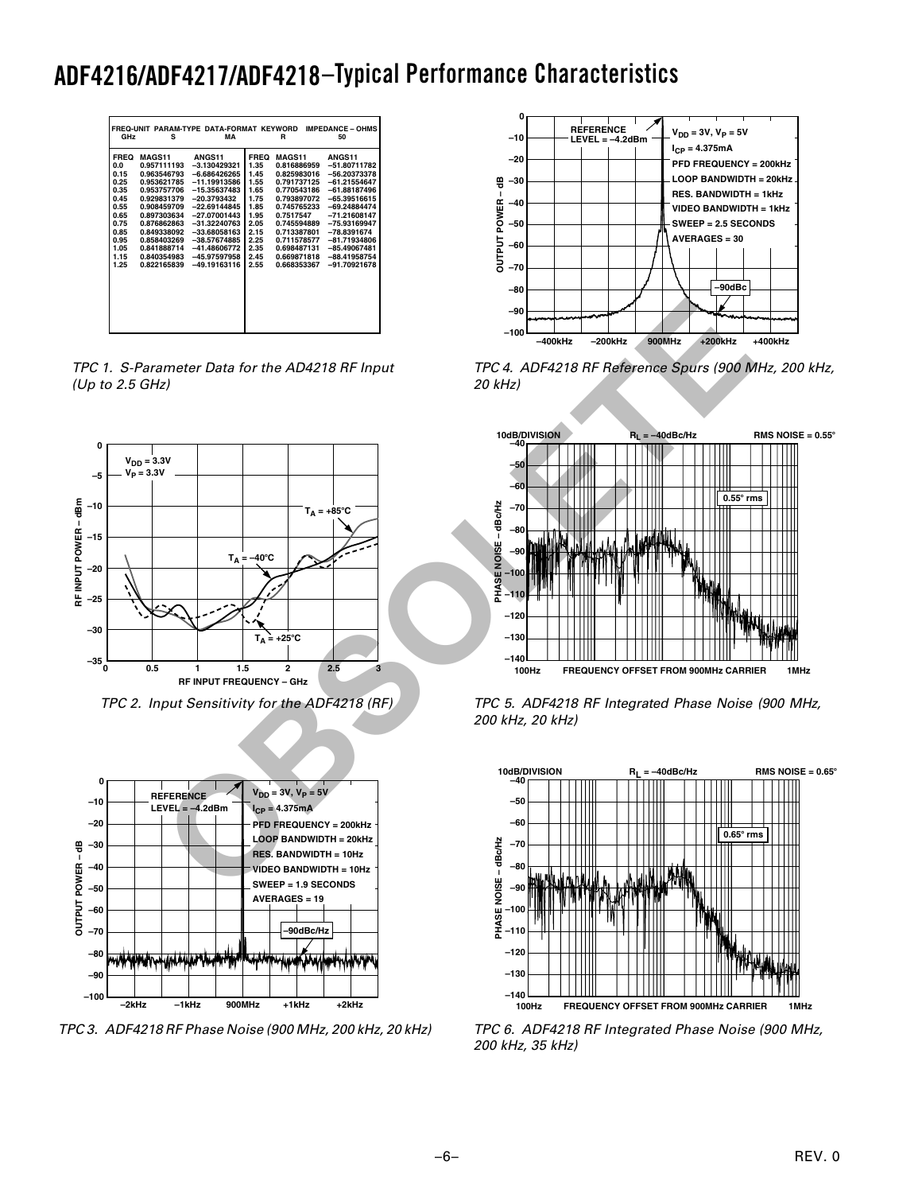# **ADF4216/ADF4217/ADF4218 –Typical Performance Characteristics**

| FREQ-UNIT PARAM-TYPE DATA-FORMAT KEYWORD<br>GHz<br>s                                                                                                                                                                                                                                                                                   | MА                                                                                                                                                                                                                                          | <b>IMPEDANCE - OHMS</b><br>50<br>R                                                                                  |                                                                                                                                                                                                                |                                                                                                                                                                                                                                                        |  |  |  |  |
|----------------------------------------------------------------------------------------------------------------------------------------------------------------------------------------------------------------------------------------------------------------------------------------------------------------------------------------|---------------------------------------------------------------------------------------------------------------------------------------------------------------------------------------------------------------------------------------------|---------------------------------------------------------------------------------------------------------------------|----------------------------------------------------------------------------------------------------------------------------------------------------------------------------------------------------------------|--------------------------------------------------------------------------------------------------------------------------------------------------------------------------------------------------------------------------------------------------------|--|--|--|--|
| <b>FREQ</b><br><b>MAGS11</b><br>0.0<br>0.957111193<br>0.15<br>0.963546793<br>0.25<br>0.953621785<br>0.35<br>0.953757706<br>0.45<br>0.929831379<br>0.55<br>0.908459709<br>0.65<br>0.897303634<br>0.75<br>0.876862863<br>0.85<br>0.849338092<br>0.95<br>0.858403269<br>1.05<br>0.841888714<br>1.15<br>0.840354983<br>0.822165839<br>1.25 | ANGS11<br>$-3.130429321$<br>$-6.686426265$<br>$-11.19913586$<br>$-15.35637483$<br>$-20.3793432$<br>$-22.69144845$<br>$-27.07001443$<br>$-31.32240763$<br>$-33.68058163$<br>$-38.57674885$<br>$-41.48606772$<br>-45.97597958<br>-49.19163116 | <b>FREQ</b><br>1.35<br>1.45<br>1.55<br>1.65<br>1.75<br>1.85<br>1.95<br>2.05<br>2.15<br>2.25<br>2.35<br>2.45<br>2.55 | <b>MAGS11</b><br>0.816886959<br>0.825983016<br>0.791737125<br>0.770543186<br>0.793897072<br>0.745765233<br>0.7517547<br>0.745594889<br>0.713387801<br>0.711578577<br>0.698487131<br>0.669871818<br>0.668353367 | <b>ANGS11</b><br>$-51.80711782$<br>$-56.20373378$<br>$-61.21554647$<br>$-61.88187496$<br>$-65.39516615$<br>$-69.24884474$<br>$-71.21608147$<br>$-75.93169947$<br>$-78.8391674$<br>$-81.71934806$<br>$-85.49067481$<br>$-88.41958754$<br>$-91.70921678$ |  |  |  |  |

TPC 1. S-Parameter Data for the AD4218 RF Input (Up to 2.5 GHz)



TPC 2. Input Sensitivity for the ADF4218 (RF)



TPC 3. ADF4218 RF Phase Noise (900 MHz, 200 kHz, 20 kHz)



TPC 4. ADF4218 RF Reference Spurs (900 MHz, 200 kHz, 20 kHz)



TPC 5. ADF4218 RF Integrated Phase Noise (900 MHz, 200 kHz, 20 kHz)



TPC 6. ADF4218 RF Integrated Phase Noise (900 MHz, 200 kHz, 35 kHz)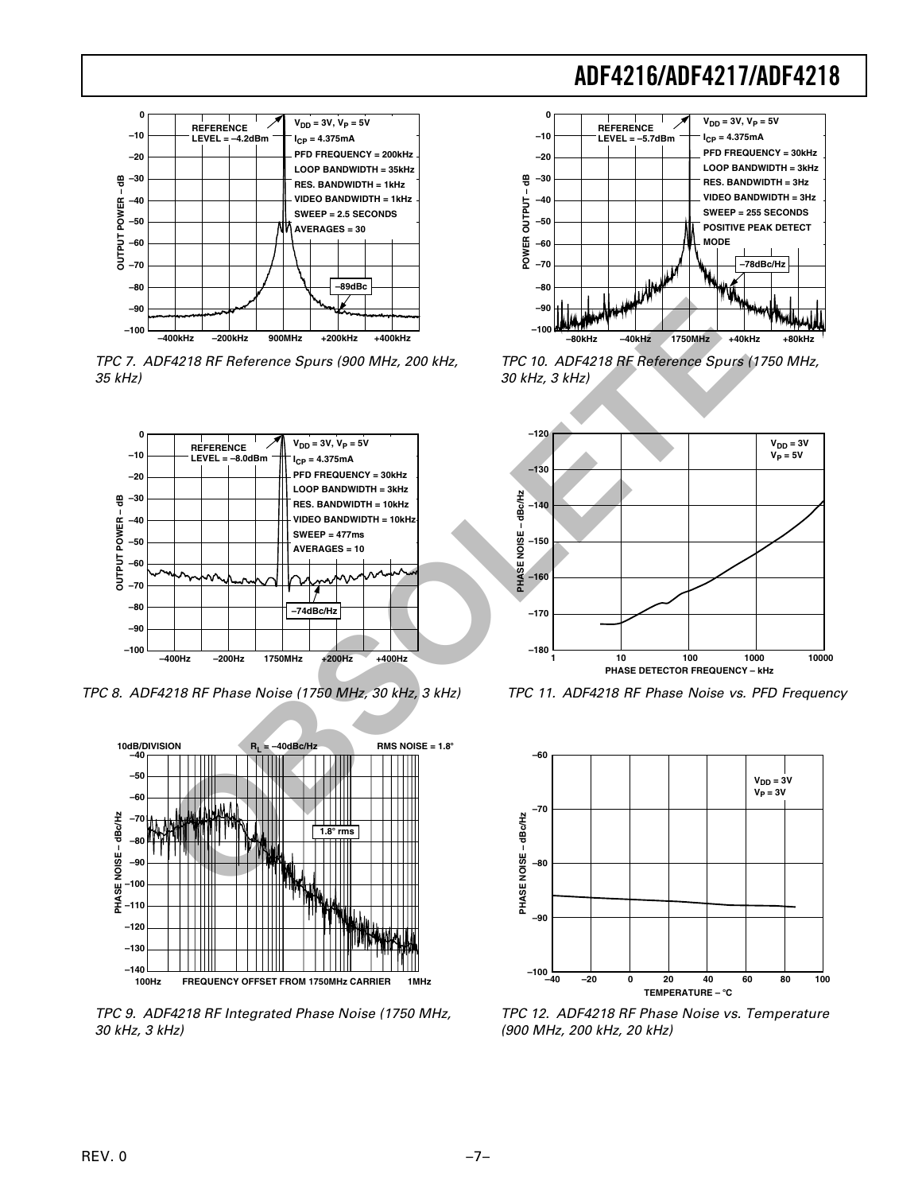

TPC 7. ADF4218 RF Reference Spurs (900 MHz, 200 kHz, 35 kHz)



TPC 8. ADF4218 RF Phase Noise (1750 MHz, 30 kHz, 3 kHz)



TPC 9. ADF4218 RF Integrated Phase Noise (1750 MHz, 30 kHz, 3 kHz)



TPC 10. ADF4218 RF Reference Spurs (1750 MHz, 30 kHz, 3 kHz)



TPC 11. ADF4218 RF Phase Noise vs. PFD Frequency



TPC 12. ADF4218 RF Phase Noise vs. Temperature (900 MHz, 200 kHz, 20 kHz)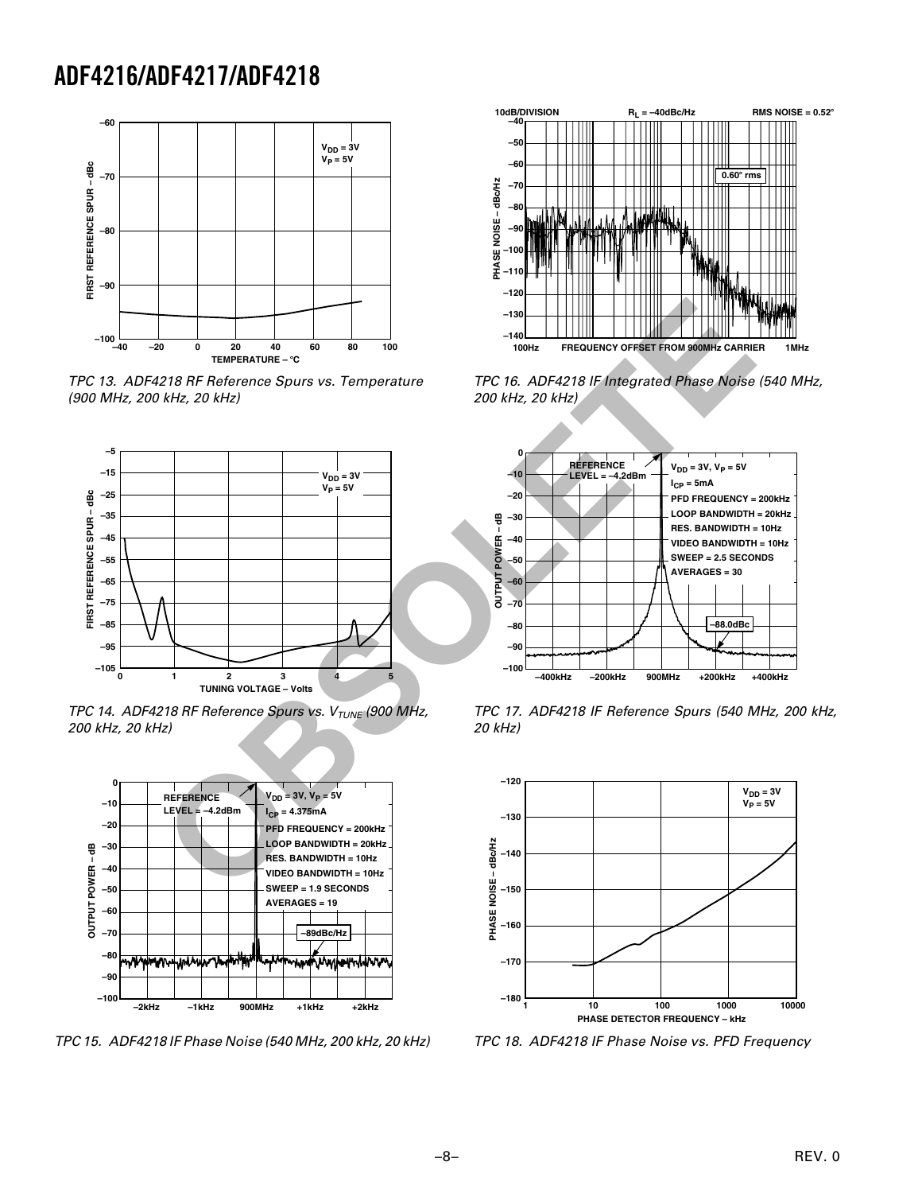

TPC 13. ADF4218 RF Reference Spurs vs. Temperature (900 MHz, 200 kHz, 20 kHz)



TPC 14. ADF4218 RF Reference Spurs vs.  $V_{\text{TUNE}}$  (900 MHz, 200 kHz, 20 kHz)



TPC 15. ADF4218 IF Phase Noise (540 MHz, 200 kHz, 20 kHz)



TPC 16. ADF4218 IF Integrated Phase Noise (540 MHz, 200 kHz, 20 kHz)



TPC 17. ADF4218 IF Reference Spurs (540 MHz, 200 kHz, 20 kHz)



TPC 18. ADF4218 IF Phase Noise vs. PFD Frequency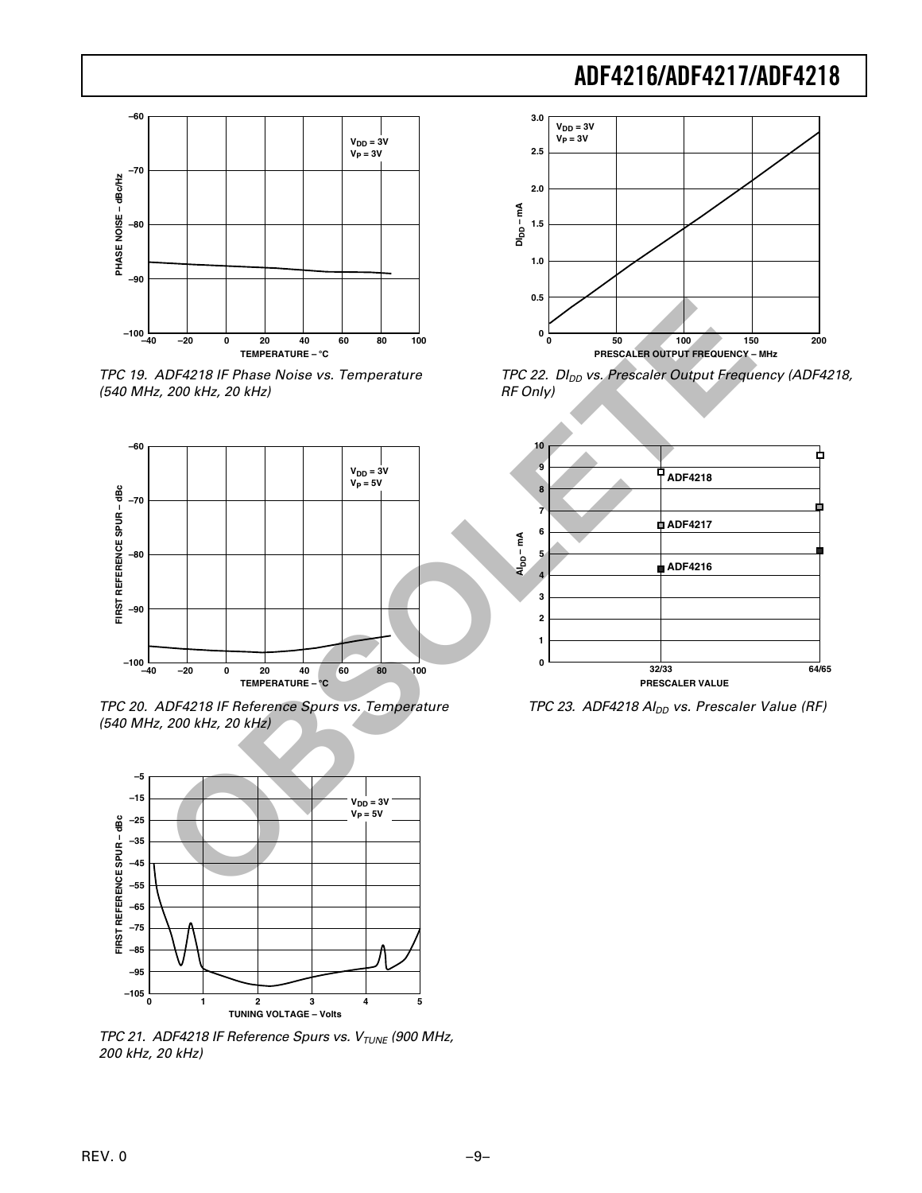

TPC 19. ADF4218 IF Phase Noise vs. Temperature (540 MHz, 200 kHz, 20 kHz)



TPC 20. ADF4218 IF Reference Spurs vs. Temperature (540 MHz, 200 kHz, 20 kHz)



TPC 21. ADF4218 IF Reference Spurs vs.  $V_{\text{TUNE}}$  (900 MHz, 200 kHz, 20 kHz)



TPC 22. DI<sub>DD</sub> vs. Prescaler Output Frequency (ADF4218, RF Only)



TPC 23. ADF4218  $Al_{DD}$  vs. Prescaler Value (RF)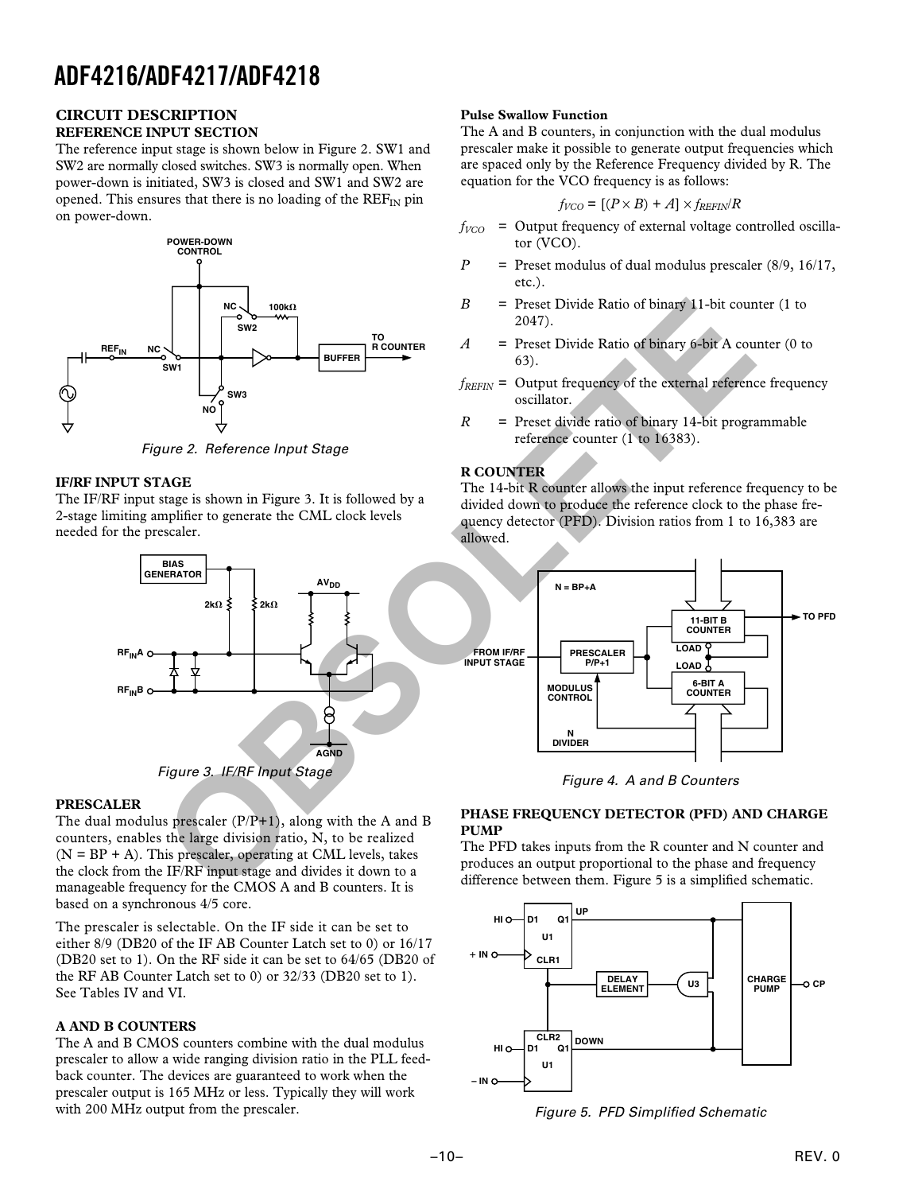#### **CIRCUIT DESCRIPTION REFERENCE INPUT SECTION**

The reference input stage is shown below in Figure 2. SW1 and SW2 are normally closed switches. SW3 is normally open. When power-down is initiated, SW3 is closed and SW1 and SW2 are opened. This ensures that there is no loading of the  $REF_{IN}$  pin on power-down.



Figure 2. Reference Input Stage

# **IF/RF INPUT STAGE**

The IF/RF input stage is shown in Figure 3. It is followed by a 2-stage limiting amplifier to generate the CML clock levels needed for the prescaler.



## **PRESCALER**

The dual modulus prescaler  $(P/P+1)$ , along with the A and B counters, enables the large division ratio, N, to be realized  $(N = BP + A)$ . This prescaler, operating at CML levels, takes the clock from the IF/RF input stage and divides it down to a manageable frequency for the CMOS A and B counters. It is based on a synchronous 4/5 core.

The prescaler is selectable. On the IF side it can be set to either 8/9 (DB20 of the IF AB Counter Latch set to 0) or 16/17 (DB20 set to 1). On the RF side it can be set to 64/65 (DB20 of the RF AB Counter Latch set to 0) or 32/33 (DB20 set to 1). See Tables IV and VI.

## **A AND B COUNTERS**

The A and B CMOS counters combine with the dual modulus prescaler to allow a wide ranging division ratio in the PLL feedback counter. The devices are guaranteed to work when the prescaler output is 165 MHz or less. Typically they will work with 200 MHz output from the prescaler.

# **Pulse Swallow Function**

The A and B counters, in conjunction with the dual modulus prescaler make it possible to generate output frequencies which are spaced only by the Reference Frequency divided by R. The equation for the VCO frequency is as follows:

$$
f_{VCO} = [(P \times B) + A] \times f_{REFIN}/R
$$

- $f_{VCO}$  = Output frequency of external voltage controlled oscillator (VCO).
- *P* = Preset modulus of dual modulus prescaler (8/9, 16/17, etc.).
- *B* = Preset Divide Ratio of binary 11-bit counter (1 to 2047).
- *A* = Preset Divide Ratio of binary 6-bit A counter (0 to 63).
- $f_{RFFIN}$  = Output frequency of the external reference frequency oscillator.
- *R* = Preset divide ratio of binary 14-bit programmable reference counter (1 to 16383).

# **R COUNTER**

The 14-bit R counter allows the input reference frequency to be divided down to produce the reference clock to the phase frequency detector (PFD). Division ratios from 1 to 16,383 are allowed.



Figure 4. A and B Counters

## **PHASE FREQUENCY DETECTOR (PFD) AND CHARGE PUMP**

The PFD takes inputs from the R counter and N counter and produces an output proportional to the phase and frequency difference between them. Figure 5 is a simplified schematic.



Figure 5. PFD Simplified Schematic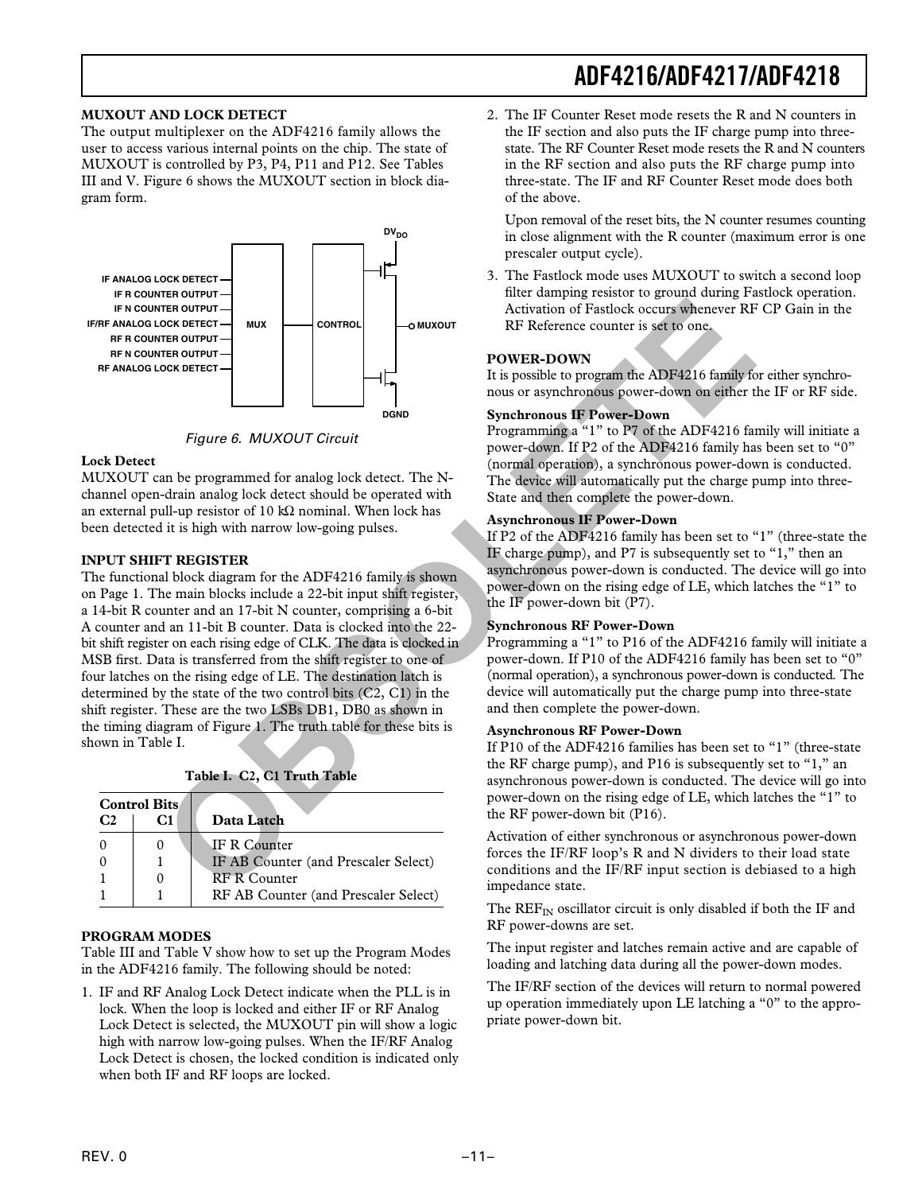### **MUXOUT AND LOCK DETECT**

The output multiplexer on the ADF4216 family allows the user to access various internal points on the chip. The state of MUXOUT is controlled by P3, P4, P11 and P12. See Tables III and V. Figure 6 shows the MUXOUT section in block diagram form.



Figure 6. MUXOUT Circuit

#### **Lock Detect**

MUXOUT can be programmed for analog lock detect. The Nchannel open-drain analog lock detect should be operated with an external pull-up resistor of 10 kΩ nominal. When lock has been detected it is high with narrow low-going pulses.

### **INPUT SHIFT REGISTER**

The functional block diagram for the ADF4216 family is shown on Page 1. The main blocks include a 22-bit input shift register, a 14-bit R counter and an 17-bit N counter, comprising a 6-bit A counter and an 11-bit B counter. Data is clocked into the 22 bit shift register on each rising edge of CLK. The data is clocked in MSB first. Data is transferred from the shift register to one of four latches on the rising edge of LE. The destination latch is determined by the state of the two control bits (C2, C1) in the shift register. These are the two LSBs DB1, DB0 as shown in the timing diagram of Figure 1. The truth table for these bits is shown in Table I. **FROMENCE THE CONTROL**<br> **OBSOLUTE:**<br> **OBSOLETER CONTROL**<br> **OBSOLETER CONTROL**<br> **OBSOLET THE CONTROLL CONTROLL CONTROLL CONTROLL CONTROLL CONTROLL CONTROLL CONTROLL CONTROLL CONTROLL CONTROLL CONTROLL CONTROLL CONTROLL CON** 

|           |  |  | Table I. C2, C1 Truth Table |  |
|-----------|--|--|-----------------------------|--|
| $\ddotsc$ |  |  |                             |  |

|                | <b>Control Bits</b> |                                      |
|----------------|---------------------|--------------------------------------|
| C <sub>2</sub> | C1                  | Data Latch                           |
|                |                     | <b>JF R Counter</b>                  |
|                |                     | IF AB Counter (and Prescaler Select) |
|                |                     | <b>RF R Counter</b>                  |
|                |                     | RF AB Counter (and Prescaler Select) |

### **PROGRAM MODES**

Table III and Table V show how to set up the Program Modes in the ADF4216 family. The following should be noted:

1. IF and RF Analog Lock Detect indicate when the PLL is in lock. When the loop is locked and either IF or RF Analog Lock Detect is selected, the MUXOUT pin will show a logic high with narrow low-going pulses. When the IF/RF Analog Lock Detect is chosen, the locked condition is indicated only when both IF and RF loops are locked.

2. The IF Counter Reset mode resets the R and N counters in the IF section and also puts the IF charge pump into threestate. The RF Counter Reset mode resets the R and N counters in the RF section and also puts the RF charge pump into three-state. The IF and RF Counter Reset mode does both of the above.

Upon removal of the reset bits, the N counter resumes counting in close alignment with the R counter (maximum error is one prescaler output cycle).

3. The Fastlock mode uses MUXOUT to switch a second loop filter damping resistor to ground during Fastlock operation. Activation of Fastlock occurs whenever RF CP Gain in the RF Reference counter is set to one.

### **POWER-DOWN**

It is possible to program the ADF4216 family for either synchronous or asynchronous power-down on either the IF or RF side.

#### **Synchronous IF Power-Down**

Programming a "1" to P7 of the ADF4216 family will initiate a power-down. If P2 of the ADF4216 family has been set to "0" (normal operation), a synchronous power-down is conducted. The device will automatically put the charge pump into three-State and then complete the power-down.

### **Asynchronous IF Power-Down**

If P2 of the ADF4216 family has been set to "1" (three-state the IF charge pump), and P7 is subsequently set to "1," then an asynchronous power-down is conducted. The device will go into power-down on the rising edge of LE, which latches the "1" to the IF power-down bit (P7).

### **Synchronous RF Power-Down**

Programming a "1" to P16 of the ADF4216 family will initiate a power-down. If P10 of the ADF4216 family has been set to "0" (normal operation), a synchronous power-down is conducted. The device will automatically put the charge pump into three-state and then complete the power-down.

### **Asynchronous RF Power-Down**

If P10 of the ADF4216 families has been set to "1" (three-state the RF charge pump), and P16 is subsequently set to "1," an asynchronous power-down is conducted. The device will go into power-down on the rising edge of LE, which latches the "1" to the RF power-down bit (P16).

Activation of either synchronous or asynchronous power-down forces the IF/RF loop's R and N dividers to their load state conditions and the IF/RF input section is debiased to a high impedance state.

The  $REF_{IN}$  oscillator circuit is only disabled if both the IF and RF power-downs are set.

The input register and latches remain active and are capable of loading and latching data during all the power-down modes.

The IF/RF section of the devices will return to normal powered up operation immediately upon LE latching a "0" to the appropriate power-down bit.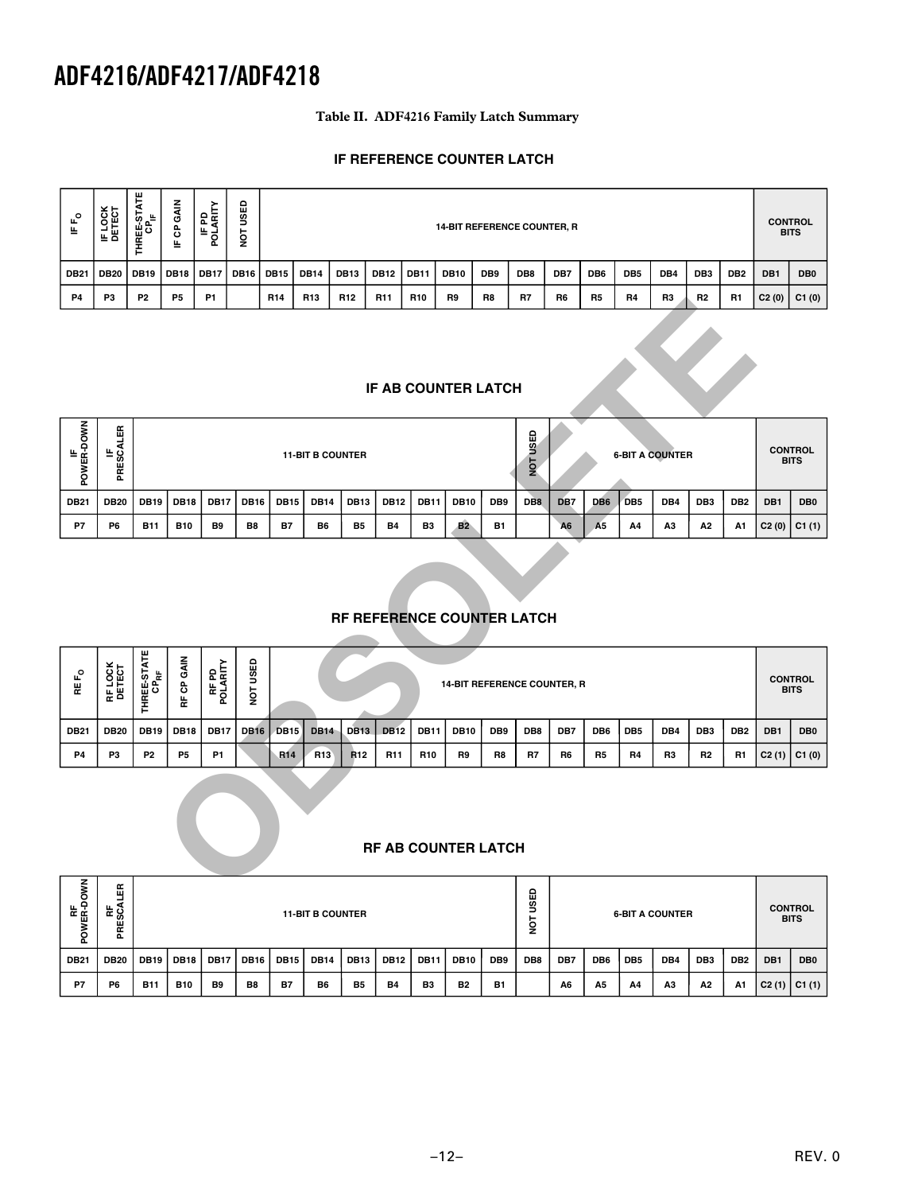# **Table II. ADF4216 Family Latch Summary**

# **IF REFERENCE COUNTER LATCH**

| <b>DB12</b><br>DB9<br>DB8<br>DB <sub>6</sub><br>DB <sub>4</sub><br>DB <sub>3</sub><br><b>DB21</b><br><b>DB20</b><br><b>DB19</b><br><b>DB18</b><br><b>DB17</b><br><b>DB16</b><br><b>DB15</b><br><b>DB14</b><br><b>DB13</b><br><b>DB11</b><br><b>DB10</b><br>DB7<br>DB <sub>5</sub><br>DB <sub>2</sub><br>DB1<br><b>P5</b><br><b>P1</b><br><b>P2</b><br>R <sub>14</sub><br>R <sub>13</sub><br>R <sub>12</sub><br>R <sub>11</sub><br><b>R10</b><br>R <sub>9</sub><br>R <sub>8</sub><br>R7<br>R <sub>5</sub><br><b>R4</b><br>R <sub>3</sub><br><b>R2</b><br><b>R1</b><br><b>P4</b><br>P <sub>3</sub><br>R <sub>6</sub><br>C2(0)<br><b>IF AB COUNTER LATCH</b> | $\mathbf{r}_{\mathsf{o}}$<br>뜨 | IF LOCK<br>DETECT | <b>THREE-STATE</b><br>CP <sub>IF</sub> | GAIN<br>පි<br>트 | <b>IFPD</b><br>POLARITY | USED<br>ΙÓΝ |  | 14-BIT REFERENCE COUNTER, R |  |  |  |  |  |  |  |  |  |  |  | <b>CONTROL</b><br><b>BITS</b> |                 |
|-----------------------------------------------------------------------------------------------------------------------------------------------------------------------------------------------------------------------------------------------------------------------------------------------------------------------------------------------------------------------------------------------------------------------------------------------------------------------------------------------------------------------------------------------------------------------------------------------------------------------------------------------------------|--------------------------------|-------------------|----------------------------------------|-----------------|-------------------------|-------------|--|-----------------------------|--|--|--|--|--|--|--|--|--|--|--|-------------------------------|-----------------|
|                                                                                                                                                                                                                                                                                                                                                                                                                                                                                                                                                                                                                                                           |                                |                   |                                        |                 |                         |             |  |                             |  |  |  |  |  |  |  |  |  |  |  |                               | DB <sub>0</sub> |
|                                                                                                                                                                                                                                                                                                                                                                                                                                                                                                                                                                                                                                                           |                                |                   |                                        |                 |                         |             |  |                             |  |  |  |  |  |  |  |  |  |  |  |                               | C1(0)           |
|                                                                                                                                                                                                                                                                                                                                                                                                                                                                                                                                                                                                                                                           |                                |                   |                                        |                 |                         |             |  |                             |  |  |  |  |  |  |  |  |  |  |  |                               |                 |

## **IF AB COUNTER LATCH**

| z<br>MER-DO<br>MER-DO<br>ā | œ<br>ш<br>ن ≝<br>Ø)<br>æ<br>൨ | <b>11-BIT B COUNTER</b> |             |                |             |             |             |             |             | ٥<br>y<br>S<br><b>6-BIT A COUNTER</b><br>Ìои |             |                 |                 |                | <b>CONTROL</b><br><b>BITS</b> |                 |                |                 |                 |     |                 |
|----------------------------|-------------------------------|-------------------------|-------------|----------------|-------------|-------------|-------------|-------------|-------------|----------------------------------------------|-------------|-----------------|-----------------|----------------|-------------------------------|-----------------|----------------|-----------------|-----------------|-----|-----------------|
| <b>DB21</b>                | <b>DB20</b>                   | <b>DB19</b>             | <b>DB18</b> | <b>DB17</b>    | <b>DB16</b> | <b>DB15</b> | <b>DB14</b> | <b>DB13</b> | <b>DB12</b> | <b>DB11</b>                                  | <b>DB10</b> | DB <sub>9</sub> | DB <sub>8</sub> | DB7            | DB <sub>6</sub>               | DB <sub>5</sub> | DB4            | DB <sub>3</sub> | DB <sub>2</sub> | DB1 | DB <sub>0</sub> |
| P7                         | P <sub>6</sub>                | <b>B11</b>              | <b>B10</b>  | B <sub>9</sub> | B8          | <b>B7</b>   | B6          | <b>B5</b>   | <b>B4</b>   | B3                                           | <b>B2</b>   | <b>B1</b>       |                 | A <sub>6</sub> | A <sub>5</sub>                | A4              | A <sub>3</sub> | А2              | A1              |     | C2(0)   C1(1)   |

# **RF REFERENCE COUNTER LATCH**

| ٣4                     | РJ                         | Р2                                                                                                                                                                                                                                                                                                                   | ۳5          | P1.               |                | <b>H14</b>  | <b>H13</b>      | <b>H12</b>      | <b>K11</b>      | <b>HIU</b>      | ĸэ                                 | Ħδ        | н/               | ĸo             | нŋ             | H4              | нs  | HZ.             | <b>H</b> 1                    | $C2(0)$   $C1(0)$ |                               |
|------------------------|----------------------------|----------------------------------------------------------------------------------------------------------------------------------------------------------------------------------------------------------------------------------------------------------------------------------------------------------------------|-------------|-------------------|----------------|-------------|-----------------|-----------------|-----------------|-----------------|------------------------------------|-----------|------------------|----------------|----------------|-----------------|-----|-----------------|-------------------------------|-------------------|-------------------------------|
|                        | IF AB COUNTER LATCH        |                                                                                                                                                                                                                                                                                                                      |             |                   |                |             |                 |                 |                 |                 |                                    |           |                  |                |                |                 |     |                 |                               |                   |                               |
| IF<br>POWER-DOWN       | PRESCALER                  | NOT USED<br><b>6-BIT A COUNTER</b><br><b>11-BIT B COUNTER</b><br><b>DB12</b><br>DB <sub>8</sub><br><b>DB19</b><br><b>DB18</b><br><b>DB17</b><br><b>DB16</b><br><b>DB15</b><br><b>DB14</b><br><b>DB13</b><br><b>DB11</b><br><b>DB10</b><br>DB9<br>DB7<br>DB <sub>6</sub><br>DB <sub>5</sub><br>DB4<br>DB <sub>3</sub> |             |                   |                |             |                 |                 |                 |                 |                                    |           |                  |                |                |                 |     |                 | <b>CONTROL</b><br><b>BITS</b> |                   |                               |
| <b>DB21</b>            | <b>DB20</b>                |                                                                                                                                                                                                                                                                                                                      |             |                   |                |             |                 |                 |                 |                 |                                    |           |                  |                |                |                 |     |                 | DB <sub>2</sub>               | DB1               | DB <sub>0</sub>               |
| P7                     | P <sub>6</sub>             | <b>B11</b>                                                                                                                                                                                                                                                                                                           | <b>B10</b>  | B9                | B <sub>8</sub> | <b>B7</b>   | B6              | <b>B5</b>       | <b>B4</b>       | B <sub>3</sub>  | <b>B2</b>                          | <b>B1</b> |                  | A <sub>6</sub> | A <sub>5</sub> | Α4              | A3  | A2              | A1                            | C2(0)             | C1(1)                         |
|                        |                            |                                                                                                                                                                                                                                                                                                                      |             |                   |                |             |                 |                 |                 |                 | RF REFERENCE COUNTER LATCH         |           |                  |                |                |                 |     |                 |                               |                   |                               |
| <b>REF<sub>O</sub></b> | RF LOCK<br>DETECT          | THREE-STATE                                                                                                                                                                                                                                                                                                          | RF CP GAIN  | RF PD<br>POLARITY | NOT USED       |             |                 |                 |                 |                 | <b>14-BIT REFERENCE COUNTER, R</b> |           |                  |                |                |                 |     |                 |                               |                   | <b>CONTROL</b><br><b>BITS</b> |
| <b>DB21</b>            | <b>DB20</b>                | <b>DB19</b>                                                                                                                                                                                                                                                                                                          | <b>DB18</b> | <b>DB17</b>       | <b>DB16</b>    | <b>DB15</b> | <b>DB14</b>     | <b>DB13</b>     | <b>DB12</b>     | <b>DB11</b>     | <b>DB10</b>                        | DB9       | DB8              | DB7            | DB6            | DB <sub>5</sub> | DB4 | DB <sub>3</sub> | DB <sub>2</sub>               | DB1               | DB <sub>0</sub>               |
| P4                     | P3                         | P <sub>2</sub>                                                                                                                                                                                                                                                                                                       | <b>P5</b>   | <b>P1</b>         |                | <b>R14</b>  | R <sub>13</sub> | R <sub>12</sub> | R <sub>11</sub> | R <sub>10</sub> | R9                                 | R8        | R7               | R6             | R <sub>5</sub> | R4              | R3  | R <sub>2</sub>  | R1                            | C2(1)             | C1(0)                         |
|                        | <b>RF AB COUNTER LATCH</b> |                                                                                                                                                                                                                                                                                                                      |             |                   |                |             |                 |                 |                 |                 |                                    |           |                  |                |                |                 |     |                 |                               |                   |                               |
| Š                      | 뜺                          |                                                                                                                                                                                                                                                                                                                      |             |                   |                |             |                 |                 |                 |                 |                                    |           | $\mathbf \Omega$ |                |                |                 |     |                 |                               |                   |                               |

# **RF AB COUNTER LATCH**

| ξ<br>RF<br>WER-DOI<br>൨ | œ<br>ш<br>ីនិ<br>뚠 |             |             |             |                |             | <b>11-BIT B COUNTER</b> |                  |             |                |                |                 | ≏<br>ш<br>g<br>−<br>ē |                |                 |                 | <b>6-BIT A COUNTER</b> |                 |                 |     | <b>CONTROL</b><br><b>BITS</b> |
|-------------------------|--------------------|-------------|-------------|-------------|----------------|-------------|-------------------------|------------------|-------------|----------------|----------------|-----------------|-----------------------|----------------|-----------------|-----------------|------------------------|-----------------|-----------------|-----|-------------------------------|
| <b>DB21</b>             | <b>DB20</b>        | <b>DB19</b> | <b>DB18</b> | <b>DB17</b> | <b>DB16</b>    | <b>DB15</b> | <b>DB14</b>             | DB <sub>13</sub> | <b>DB12</b> | <b>DB11</b>    | <b>DB10</b>    | DB <sub>9</sub> | DB8                   | DB7            | DB <sub>6</sub> | DB <sub>5</sub> | DB4                    | DB <sub>3</sub> | DB <sub>2</sub> | DB1 | DB <sub>0</sub>               |
| P7                      | P <sub>6</sub>     | <b>B11</b>  | <b>B10</b>  | B9          | B <sub>8</sub> | <b>B7</b>   | B6                      | <b>B5</b>        | <b>B4</b>   | B <sub>3</sub> | B <sub>2</sub> | <b>B1</b>       |                       | A <sub>6</sub> | A5              | A4              | A <sub>3</sub>         | A2              | A1              |     | C2(1)   C1(1)                 |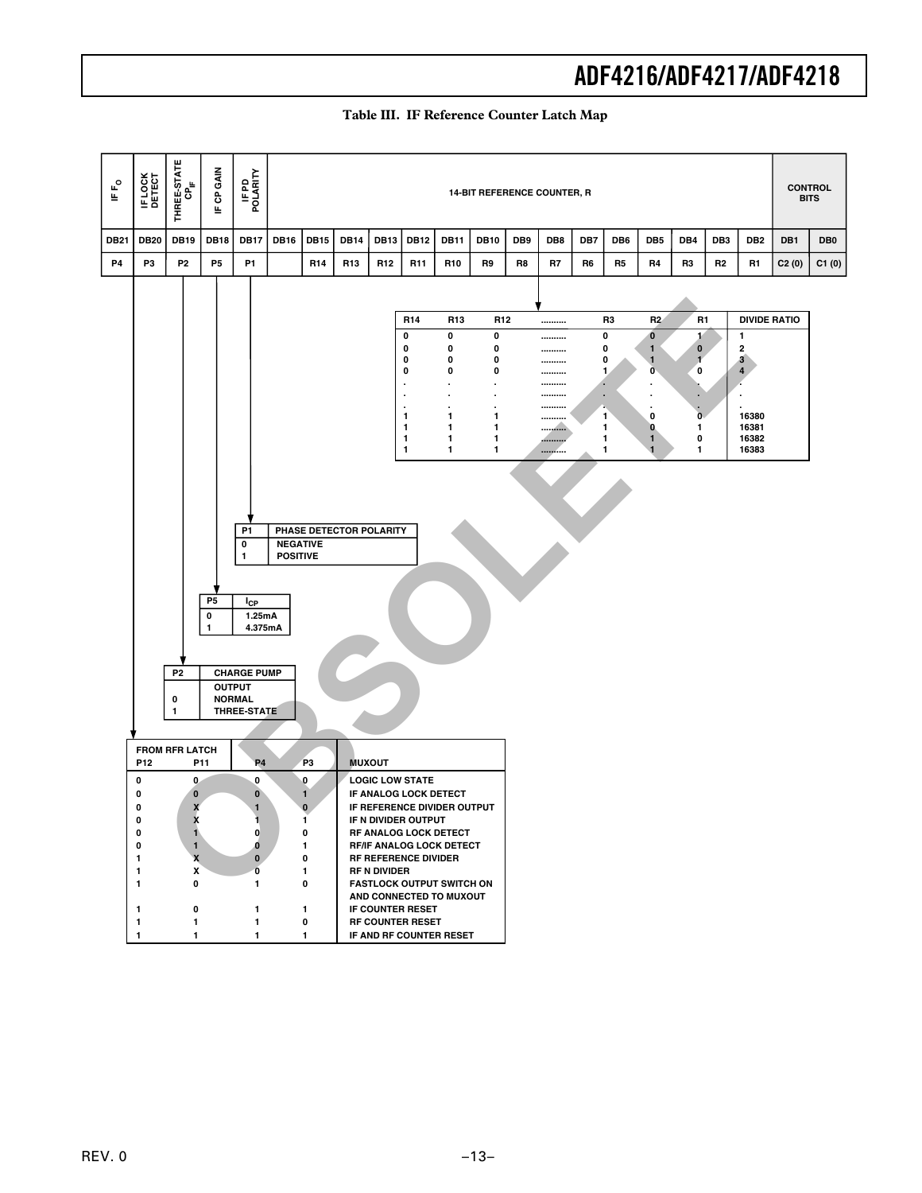| ⊩F°         | IF LOCK<br>DETECT                                                                               | THREE-STATE<br>CP <sub>IF</sub>                                                                                                                                                                                 | IF CP GAIN                      | IFPD<br>POLARITY                                                                                                                                                                                                                                     |                                    |                                                                                               |                                          |                 |                                                                                                                                                                                                         |                                                                                                                                                                                                                                                                                       | <b>14-BIT REFERENCE COUNTER, R</b>                                     |     |                                              |     |                                                 |                                                                                                     |                                                                                |                 |                                                                                                                        |       | <b>CONTROL</b><br><b>BITS</b> |
|-------------|-------------------------------------------------------------------------------------------------|-----------------------------------------------------------------------------------------------------------------------------------------------------------------------------------------------------------------|---------------------------------|------------------------------------------------------------------------------------------------------------------------------------------------------------------------------------------------------------------------------------------------------|------------------------------------|-----------------------------------------------------------------------------------------------|------------------------------------------|-----------------|---------------------------------------------------------------------------------------------------------------------------------------------------------------------------------------------------------|---------------------------------------------------------------------------------------------------------------------------------------------------------------------------------------------------------------------------------------------------------------------------------------|------------------------------------------------------------------------|-----|----------------------------------------------|-----|-------------------------------------------------|-----------------------------------------------------------------------------------------------------|--------------------------------------------------------------------------------|-----------------|------------------------------------------------------------------------------------------------------------------------|-------|-------------------------------|
| <b>DB21</b> | <b>DB20</b>                                                                                     | <b>DB19</b>                                                                                                                                                                                                     | <b>DB18</b>                     | <b>DB17</b>                                                                                                                                                                                                                                          | <b>DB16</b>                        | <b>DB15</b>                                                                                   | <b>DB14</b>                              | <b>DB13</b>     | <b>DB12</b>                                                                                                                                                                                             | <b>DB11</b>                                                                                                                                                                                                                                                                           | <b>DB10</b>                                                            | DB9 | DB8                                          | DB7 | DB <sub>6</sub>                                 | DB <sub>5</sub>                                                                                     | DB4                                                                            | DB <sub>3</sub> | DB <sub>2</sub>                                                                                                        | DB1   | DB <sub>0</sub>               |
| <b>P4</b>   | P3                                                                                              | P <sub>2</sub>                                                                                                                                                                                                  | P5                              | P <sub>1</sub>                                                                                                                                                                                                                                       |                                    | R <sub>14</sub>                                                                               | R <sub>13</sub>                          | R <sub>12</sub> | R11                                                                                                                                                                                                     | R10                                                                                                                                                                                                                                                                                   | R9                                                                     | R8  | R7                                           | R6  | R5                                              | R4                                                                                                  | R3                                                                             | R <sub>2</sub>  | R1                                                                                                                     | C2(0) | C1(0)                         |
|             | P12<br>0<br>0<br>0<br>$\mathbf 0$<br>0<br>0<br>1<br>1<br>1<br>$\mathbf{1}$<br>1<br>$\mathbf{1}$ | P <sub>2</sub><br>0<br>1<br><b>FROM RFR LATCH</b><br>0<br>$\pmb{0}$<br>X<br>$\overline{\mathbf{x}}$<br>$\blacksquare$<br>$\mathbf{1}$<br>$\pmb{\mathsf{x}}$<br>X<br>$\pmb{0}$<br>$\pmb{0}$<br>1<br>$\mathbf{1}$ | P <sub>5</sub><br>0<br>1<br>P11 | P <sub>1</sub><br>0<br>1<br>$I_{CP}$<br>1.25mA<br>4.375mA<br><b>CHARGE PUMP</b><br><b>OUTPUT</b><br><b>NORMAL</b><br><b>THREE-STATE</b><br><b>P4</b><br>0<br>0<br>1<br>$\mathbf{0}$<br>o<br>$\pmb{0}$<br>0<br>1<br>$\mathbf{1}$<br>$\mathbf{1}$<br>1 | <b>NEGATIVE</b><br><b>POSITIVE</b> | P <sub>3</sub><br>0<br>$\mathbf{1}$<br>$\pmb{0}$<br>1<br>0<br>1<br>0<br>1<br>0<br>1<br>0<br>1 | PHASE DETECTOR POLARITY<br><b>MUXOUT</b> | RF N DIVIDER    | R <sub>14</sub><br>0<br>0<br>0<br>0<br>$\bullet$<br>$\cdot$<br>1<br>1<br>1<br>1<br><b>LOGIC LOW STATE</b><br>IF N DIVIDER OUTPUT<br>RF REFERENCE DIVIDER<br>IF COUNTER RESET<br><b>RF COUNTER RESET</b> | R <sub>13</sub><br>0<br>0<br>0<br>0<br>٠<br>1<br>1<br>$\mathbf{1}$<br>1<br>IF ANALOG LOCK DETECT<br>IF REFERENCE DIVIDER OUTPUT<br>RF ANALOG LOCK DETECT<br><b>RF/IF ANALOG LOCK DETECT</b><br><b>FASTLOCK OUTPUT SWITCH ON</b><br>AND CONNECTED TO MUXOUT<br>IF AND RF COUNTER RESET | R <sub>12</sub><br>0<br>0<br>0<br>0<br>٠<br>٠<br>٠<br>1<br>1<br>1<br>1 |     | <br><br><br><br><br><br><br><br><br><br><br> |     | R3<br>0<br>0<br>0<br>1<br>٠<br>1<br>1<br>1<br>1 | <b>R2</b><br>0<br>$\mathbf{1}$<br>$\mathbf{1}$<br>$\mathbf 0$<br>0<br>$\bf{0}$<br>$\mathbf{1}$<br>1 | R <sub>1</sub><br>$\mathbf{1}$<br>$\pmb{0}$<br>1<br>0<br>٠<br>Ō<br>1<br>0<br>1 |                 | <b>DIVIDE RATIO</b><br>$\mathbf{1}$<br>$\mathbf 2$<br>3<br>$\overline{\mathbf{4}}$<br>16380<br>16381<br>16382<br>16383 |       |                               |

# **Table III. IF Reference Counter Latch Map**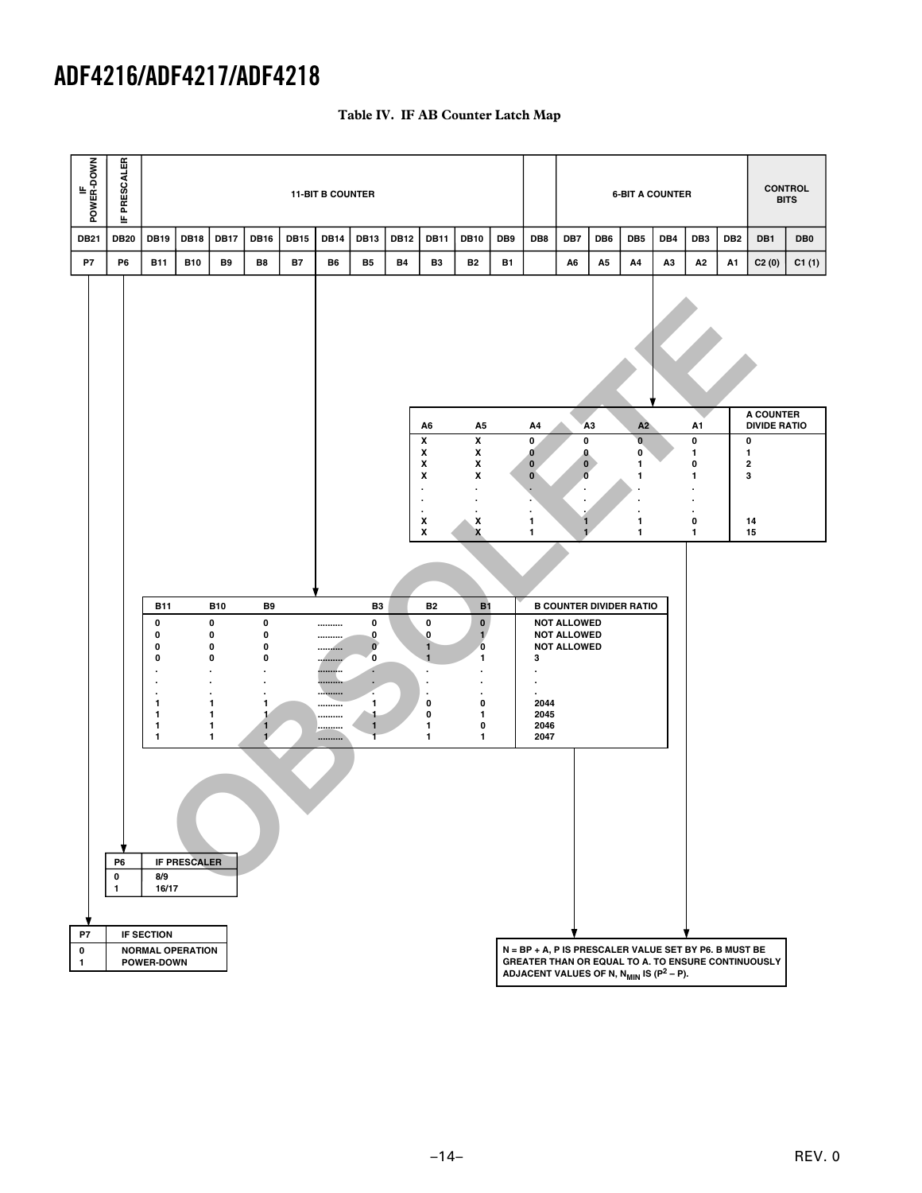| IF<br>POWER-DOWN | PRESCALER<br>≞       |                                                                                                      |                     |                                                                                            |                                                                                                                             |             | <b>11-BIT B COUNTER</b>                  |                                                                                                                   |             |                                                                                                                  |                                                                                                                           |           |                                                                                                                   |                                                                                                  |     |                                         | <b>6-BIT A COUNTER</b> |                                   |                 |                                                    | <b>CONTROL</b><br><b>BITS</b> |
|------------------|----------------------|------------------------------------------------------------------------------------------------------|---------------------|--------------------------------------------------------------------------------------------|-----------------------------------------------------------------------------------------------------------------------------|-------------|------------------------------------------|-------------------------------------------------------------------------------------------------------------------|-------------|------------------------------------------------------------------------------------------------------------------|---------------------------------------------------------------------------------------------------------------------------|-----------|-------------------------------------------------------------------------------------------------------------------|--------------------------------------------------------------------------------------------------|-----|-----------------------------------------|------------------------|-----------------------------------|-----------------|----------------------------------------------------|-------------------------------|
| <b>DB21</b>      | <b>DB20</b>          | <b>DB19</b>                                                                                          | <b>DB18</b>         | <b>DB17</b>                                                                                | <b>DB16</b>                                                                                                                 | <b>DB15</b> | <b>DB14</b>                              | <b>DB13</b>                                                                                                       | <b>DB12</b> | <b>DB11</b>                                                                                                      | <b>DB10</b>                                                                                                               | DB9       | DB8                                                                                                               | DB7                                                                                              | DB6 | DB <sub>5</sub>                         | DB4                    | DB <sub>3</sub>                   | DB <sub>2</sub> | DB1                                                | DB <sub>0</sub>               |
| P7               | P <sub>6</sub>       | <b>B11</b>                                                                                           | <b>B10</b>          | B9                                                                                         | B8                                                                                                                          | <b>B7</b>   | B6                                       | <b>B5</b>                                                                                                         | <b>B4</b>   | B <sub>3</sub>                                                                                                   | <b>B2</b>                                                                                                                 | <b>B1</b> |                                                                                                                   | A6                                                                                               | A5  | A4                                      | A3                     | А2                                | A1              | C2(0)                                              | C1(1)                         |
|                  |                      |                                                                                                      |                     |                                                                                            |                                                                                                                             |             |                                          |                                                                                                                   |             |                                                                                                                  |                                                                                                                           |           |                                                                                                                   |                                                                                                  |     |                                         |                        |                                   |                 | <b>A COUNTER</b>                                   |                               |
|                  |                      |                                                                                                      |                     |                                                                                            |                                                                                                                             |             |                                          |                                                                                                                   |             | A6<br>$\pmb{\mathsf{x}}$                                                                                         | A5<br>$\pmb{\mathsf{x}}$                                                                                                  |           | A4<br>0                                                                                                           | 0                                                                                                | A3  | A2<br>$\mathbf{0}$                      |                        | A1<br>0                           |                 | <b>DIVIDE RATIO</b><br>$\pmb{0}$                   |                               |
|                  |                      |                                                                                                      |                     |                                                                                            |                                                                                                                             |             |                                          |                                                                                                                   |             | x<br>X<br>X<br>$\cdot$<br>$\cdot$                                                                                | x<br>x<br>x<br>$\cdot$<br>$\cdot$                                                                                         |           | $\mathbf{0}$<br>$\mathbf 0$<br>$\mathbf{0}$<br>$\cdot$                                                            | 0<br>$\mathbf 0$<br>$\mathbf 0$<br>$\cdot$                                                       |     | 0<br>1<br>1<br>$\overline{\phantom{a}}$ |                        | 1<br>0<br>1<br>$\cdot$<br>$\cdot$ |                 | 1<br>$\mathbf 2$<br>3                              |                               |
|                  |                      |                                                                                                      |                     |                                                                                            |                                                                                                                             |             |                                          |                                                                                                                   |             | X<br>X                                                                                                           | x<br>X                                                                                                                    |           | $\mathbf{1}$<br>$\mathbf{1}$                                                                                      | 1<br>$\mathbf{1}$                                                                                |     | $\cdot$<br>٠<br>1<br>1                  |                        | $\pmb{0}$<br>1                    |                 | 14<br>15                                           |                               |
|                  |                      |                                                                                                      |                     |                                                                                            |                                                                                                                             |             |                                          |                                                                                                                   |             |                                                                                                                  |                                                                                                                           |           |                                                                                                                   |                                                                                                  |     |                                         |                        |                                   |                 |                                                    |                               |
|                  |                      | <b>B11</b><br>0<br>0<br>0<br>0<br>٠<br>٠<br>$\blacksquare$<br>1<br>1<br>$\mathbf{1}$<br>$\mathbf{1}$ |                     | <b>B10</b><br>0<br>0<br>0<br>0<br>٠<br>$\cdot$<br>$\bullet$<br>1<br>1<br>1<br>$\mathbf{1}$ | B <sub>9</sub><br>$\pmb{0}$<br>$\pmb{0}$<br>0<br>0<br>$\bullet$<br>$\blacksquare$<br>1<br>1<br>$\mathbf{1}$<br>$\mathbf{1}$ |             | <br><br><br><br><br><br><br><br><br><br> | B <sub>3</sub><br>0<br>$\mathbf 0$<br>$\mathbf{0}$<br>O<br>٠<br>٠<br>٠.<br>$\mathbf{1}$<br>4<br>$\mathbf{1}$<br>Ŧ |             | <b>B2</b><br>0<br>0<br>$\mathbf{1}$<br>$\mathbf{1}$<br>$\cdot$<br>$\cdot$<br>$\cdot$<br>$\pmb{0}$<br>0<br>1<br>1 | B1<br>$\mathbf 0$<br>$\mathbf{1}^{\prime}$<br>$\bf{0}$<br>1<br>٠<br>$\ddot{\phantom{0}}$<br>$\bullet$<br>0<br>1<br>0<br>1 |           | 3<br>$\cdot$<br>$\cdot$<br>2044<br>2045<br>2046<br>2047                                                           | <b>B COUNTER DIVIDER RATIO</b><br><b>NOT ALLOWED</b><br><b>NOT ALLOWED</b><br><b>NOT ALLOWED</b> |     |                                         |                        |                                   |                 |                                                    |                               |
|                  | P6<br>$\pmb{0}$<br>1 | 8/9<br>16/17                                                                                         | <b>IF PRESCALER</b> |                                                                                            |                                                                                                                             |             |                                          |                                                                                                                   |             |                                                                                                                  |                                                                                                                           |           |                                                                                                                   |                                                                                                  |     |                                         |                        |                                   |                 |                                                    |                               |
| P7<br>0<br>1     |                      | <b>IF SECTION</b><br><b>NORMAL OPERATION</b><br>POWER-DOWN                                           |                     |                                                                                            |                                                                                                                             |             |                                          |                                                                                                                   |             |                                                                                                                  |                                                                                                                           |           | N = BP + A, P IS PRESCALER VALUE SET BY P6. B MUST BE<br>ADJACENT VALUES OF N, $N_{MIN}$ IS (P <sup>2</sup> – P). |                                                                                                  |     |                                         |                        |                                   |                 | GREATER THAN OR EQUAL TO A. TO ENSURE CONTINUOUSLY |                               |

# **Table IV. IF AB Counter Latch Map**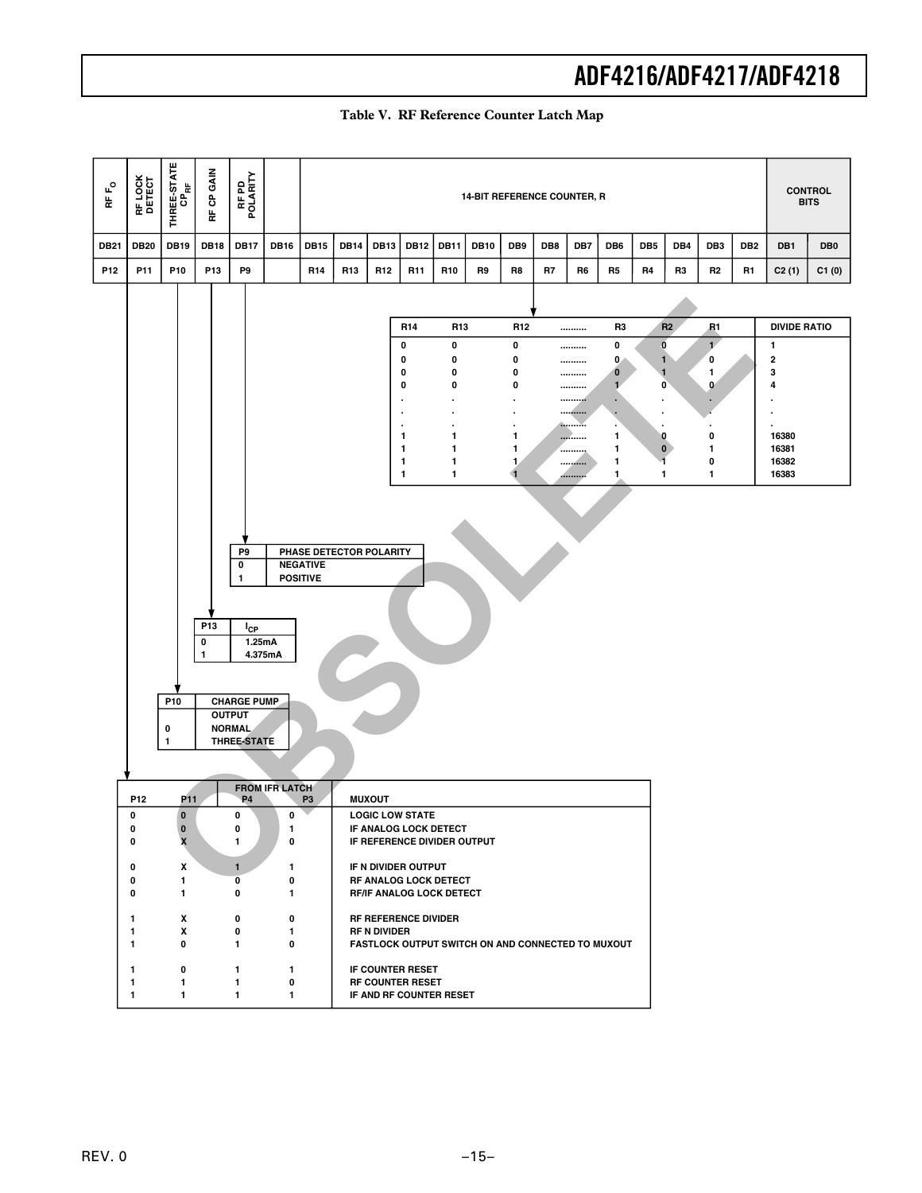| $\mathsf{r}_\mathsf{O}$<br>$\frac{\mu}{\Omega}$ | RF LOCK<br>DETECT | THREE-STATE       | RF CP GAIN           | RF PD<br>POLARITY                   |                       | <b>14-BIT REFERENCE COUNTER, R</b><br><b>DB14</b><br><b>DB13</b><br><b>DB12</b><br><b>DB11</b><br><b>DB10</b><br>DB9<br>DB8<br>DB7<br>DB <sub>5</sub><br>DB4<br>DB <sub>3</sub><br><b>DB15</b><br>DB6<br>DB <sub>2</sub> |                                                                                 |                     |                                                 |                 |                                                   |                   |    |                    |                          |                    |                   |                   |    | <b>CONTROL</b><br><b>BITS</b> |                 |  |
|-------------------------------------------------|-------------------|-------------------|----------------------|-------------------------------------|-----------------------|--------------------------------------------------------------------------------------------------------------------------------------------------------------------------------------------------------------------------|---------------------------------------------------------------------------------|---------------------|-------------------------------------------------|-----------------|---------------------------------------------------|-------------------|----|--------------------|--------------------------|--------------------|-------------------|-------------------|----|-------------------------------|-----------------|--|
| <b>DB21</b>                                     | <b>DB20</b>       | <b>DB19</b>       | <b>DB18</b>          | <b>DB17</b>                         | <b>DB16</b>           |                                                                                                                                                                                                                          |                                                                                 |                     |                                                 |                 |                                                   |                   |    |                    |                          |                    |                   |                   |    | DB1                           | DB <sub>0</sub> |  |
| P <sub>12</sub>                                 | P11               | P10               | P13                  | P9                                  |                       | R <sub>14</sub>                                                                                                                                                                                                          | R <sub>13</sub>                                                                 | R <sub>12</sub>     | R <sub>11</sub>                                 | R <sub>10</sub> | R9                                                | R8                | R7 | R6                 | R5                       | R4                 | R3                | R2                | R1 | C2(1)                         | C1(0)           |  |
|                                                 |                   |                   |                      |                                     |                       |                                                                                                                                                                                                                          |                                                                                 |                     |                                                 |                 |                                                   |                   |    |                    |                          |                    |                   |                   |    |                               |                 |  |
|                                                 |                   |                   |                      |                                     |                       |                                                                                                                                                                                                                          |                                                                                 |                     | R <sub>14</sub>                                 | R <sub>13</sub> |                                                   | R <sub>12</sub>   |    |                    | R3                       |                    | R2                | R1                |    | <b>DIVIDE RATIO</b>           |                 |  |
|                                                 |                   |                   |                      |                                     |                       |                                                                                                                                                                                                                          |                                                                                 |                     | 0<br>0                                          | 0<br>0          |                                                   | 0<br>0            |    | <br>               | 0<br>0                   |                    | O<br>$\mathbf{1}$ | $\mathbf{1}$<br>0 |    | 1<br>$\overline{2}$           |                 |  |
|                                                 |                   |                   |                      |                                     |                       |                                                                                                                                                                                                                          |                                                                                 |                     | 0<br>0                                          | 0<br>0          |                                                   | 0<br>0            |    | <br>               | $\bf{0}$<br>$\mathbf{1}$ |                    | 1<br>$\mathbf{0}$ | 1<br>$\mathbf{0}$ |    | 3<br>4                        |                 |  |
|                                                 |                   |                   |                      |                                     |                       |                                                                                                                                                                                                                          |                                                                                 |                     | ×                                               |                 |                                                   |                   |    | <br><br>Accessive. | ×.<br>٠                  | $\cdot$            |                   |                   |    | Ĭ.                            |                 |  |
|                                                 |                   |                   |                      |                                     |                       |                                                                                                                                                                                                                          |                                                                                 |                     | 1<br>1                                          | 1<br>1          |                                                   | 1<br>$\mathbf{1}$ |    | <br>               | 1<br>1                   |                    | 0<br>$\bf{0}$     | 0<br>1            |    | 16380<br>16381                |                 |  |
|                                                 |                   |                   |                      |                                     |                       |                                                                                                                                                                                                                          |                                                                                 |                     | 1<br>1                                          | 1<br>1          |                                                   | 1,<br>4           |    | <br>.              | 1<br>1                   | -1<br>$\mathbf{1}$ |                   | 0<br>$\mathbf{1}$ |    | 16382<br>16383                |                 |  |
|                                                 |                   |                   |                      |                                     |                       |                                                                                                                                                                                                                          |                                                                                 |                     |                                                 |                 |                                                   |                   |    |                    |                          |                    |                   |                   |    |                               |                 |  |
|                                                 |                   |                   |                      |                                     |                       |                                                                                                                                                                                                                          |                                                                                 |                     |                                                 |                 |                                                   |                   |    |                    |                          |                    |                   |                   |    |                               |                 |  |
|                                                 |                   |                   |                      | P9                                  |                       | PHASE DETECTOR POLARITY                                                                                                                                                                                                  |                                                                                 |                     |                                                 |                 |                                                   |                   |    |                    |                          |                    |                   |                   |    |                               |                 |  |
|                                                 |                   |                   |                      | 0<br>1                              |                       | <b>NEGATIVE</b><br><b>POSITIVE</b>                                                                                                                                                                                       |                                                                                 |                     |                                                 |                 |                                                   |                   |    |                    |                          |                    |                   |                   |    |                               |                 |  |
|                                                 |                   |                   |                      |                                     |                       |                                                                                                                                                                                                                          |                                                                                 |                     |                                                 |                 |                                                   |                   |    |                    |                          |                    |                   |                   |    |                               |                 |  |
|                                                 |                   |                   | P <sub>13</sub><br>0 | $I_{CP}$<br>1.25mA                  |                       |                                                                                                                                                                                                                          |                                                                                 |                     |                                                 |                 |                                                   |                   |    |                    |                          |                    |                   |                   |    |                               |                 |  |
|                                                 |                   |                   | 1                    |                                     | 4.375mA               |                                                                                                                                                                                                                          |                                                                                 |                     |                                                 |                 |                                                   |                   |    |                    |                          |                    |                   |                   |    |                               |                 |  |
|                                                 |                   |                   |                      |                                     |                       |                                                                                                                                                                                                                          |                                                                                 |                     |                                                 |                 |                                                   |                   |    |                    |                          |                    |                   |                   |    |                               |                 |  |
|                                                 |                   | P10               |                      | <b>CHARGE PUMP</b><br><b>OUTPUT</b> |                       |                                                                                                                                                                                                                          |                                                                                 |                     |                                                 |                 |                                                   |                   |    |                    |                          |                    |                   |                   |    |                               |                 |  |
|                                                 |                   | 0<br>$\mathbf{1}$ |                      | <b>NORMAL</b><br><b>THREE-STATE</b> |                       |                                                                                                                                                                                                                          |                                                                                 |                     |                                                 |                 |                                                   |                   |    |                    |                          |                    |                   |                   |    |                               |                 |  |
|                                                 |                   |                   |                      |                                     |                       |                                                                                                                                                                                                                          |                                                                                 |                     |                                                 |                 |                                                   |                   |    |                    |                          |                    |                   |                   |    |                               |                 |  |
|                                                 | P12               | P <sub>11</sub>   |                      | <b>P4</b>                           | <b>FROM IFR LATCH</b> | P <sub>3</sub>                                                                                                                                                                                                           |                                                                                 | <b>MUXOUT</b>       |                                                 |                 |                                                   |                   |    |                    |                          |                    |                   |                   |    |                               |                 |  |
|                                                 | 0<br>0            | $\bf{0}$          |                      | 0<br>0                              | 0<br>J.               |                                                                                                                                                                                                                          |                                                                                 |                     | <b>LOGIC LOW STATE</b><br>IF ANALOG LOCK DETECT |                 |                                                   |                   |    |                    |                          |                    |                   |                   |    |                               |                 |  |
|                                                 | 0                 | X                 |                      | 1                                   | $\mathbf 0$           |                                                                                                                                                                                                                          |                                                                                 |                     | IF REFERENCE DIVIDER OUTPUT                     |                 |                                                   |                   |    |                    |                          |                    |                   |                   |    |                               |                 |  |
|                                                 | 0<br>0            | X<br>$\mathbf{1}$ |                      | $\mathbf{1}$<br>0                   | 1<br>0                |                                                                                                                                                                                                                          | IF N DIVIDER OUTPUT<br>RF ANALOG LOCK DETECT<br><b>RF/IF ANALOG LOCK DETECT</b> |                     |                                                 |                 |                                                   |                   |    |                    |                          |                    |                   |                   |    |                               |                 |  |
|                                                 | 0                 | 1                 |                      | 0                                   | 1                     |                                                                                                                                                                                                                          |                                                                                 |                     |                                                 |                 |                                                   |                   |    |                    |                          |                    |                   |                   |    |                               |                 |  |
|                                                 | $\mathbf{1}$<br>1 | X<br>X            |                      | 0<br>0                              | 0<br>1                |                                                                                                                                                                                                                          |                                                                                 | <b>RF N DIVIDER</b> | <b>RF REFERENCE DIVIDER</b>                     |                 |                                                   |                   |    |                    |                          |                    |                   |                   |    |                               |                 |  |
|                                                 | $\mathbf{1}$      | 0                 |                      | 1                                   | 0                     |                                                                                                                                                                                                                          |                                                                                 |                     |                                                 |                 | FASTLOCK OUTPUT SWITCH ON AND CONNECTED TO MUXOUT |                   |    |                    |                          |                    |                   |                   |    |                               |                 |  |
|                                                 | 1<br>1            | 0<br>1            |                      | 1<br>1                              | 1<br>0                |                                                                                                                                                                                                                          | IF COUNTER RESET<br><b>RF COUNTER RESET</b><br>IF AND RF COUNTER RESET          |                     |                                                 |                 |                                                   |                   |    |                    |                          |                    |                   |                   |    |                               |                 |  |
|                                                 | $\mathbf{1}$      | 1                 |                      | 1                                   | 1                     |                                                                                                                                                                                                                          |                                                                                 |                     |                                                 |                 |                                                   |                   |    |                    |                          |                    |                   |                   |    |                               |                 |  |

# **Table V. RF Reference Counter Latch Map**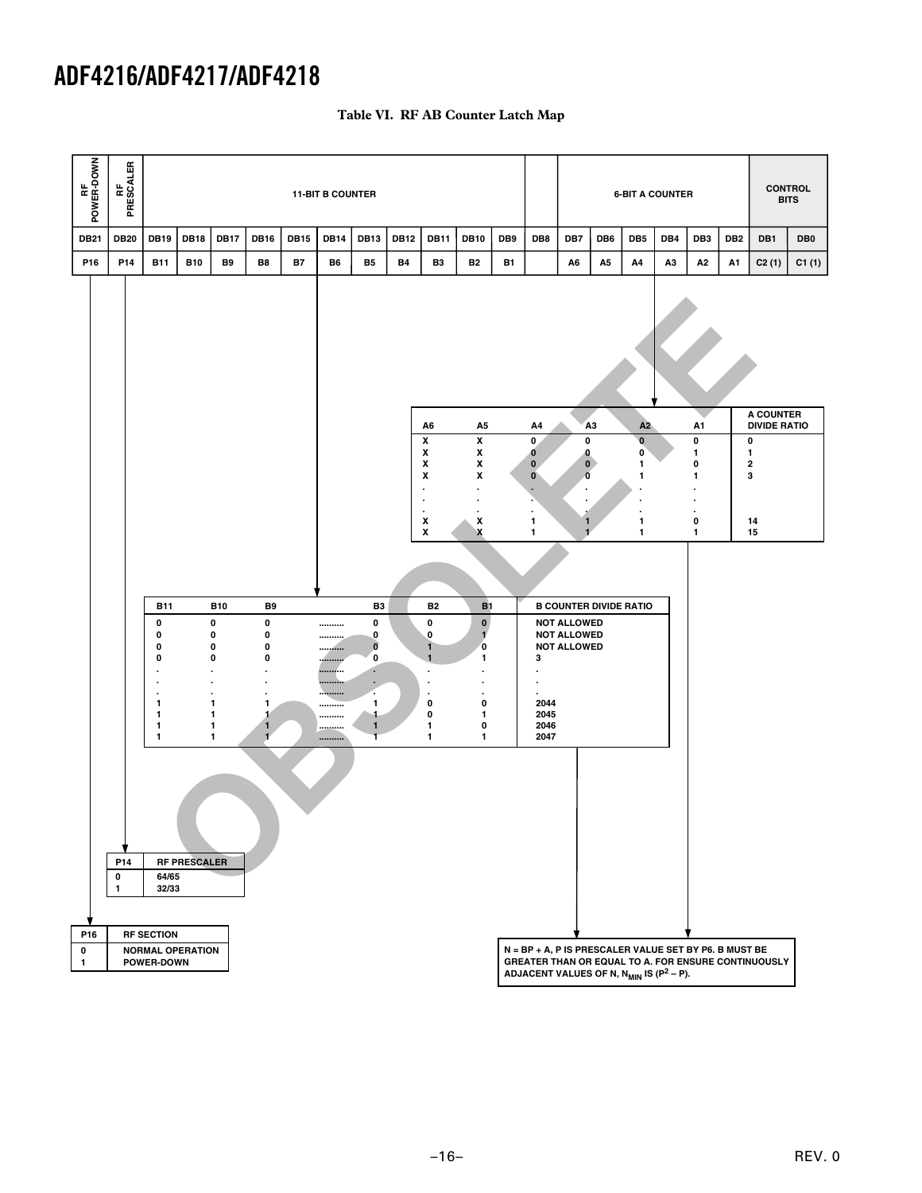| RF<br>POWER-DOWN | RF<br>PRESCALER          |                                                                                               |                     |                                                                                                            |                                                                             |             | <b>11-BIT B COUNTER</b>                            |                                                                                                                                                |             |                                                                                                                             |                                                                                                                                    |           |                                                                                                                   |                                                                                                 | <b>6-BIT A COUNTER</b> |                                    |     |                                   | <b>CONTROL</b><br><b>BITS</b> |                                                     |                 |
|------------------|--------------------------|-----------------------------------------------------------------------------------------------|---------------------|------------------------------------------------------------------------------------------------------------|-----------------------------------------------------------------------------|-------------|----------------------------------------------------|------------------------------------------------------------------------------------------------------------------------------------------------|-------------|-----------------------------------------------------------------------------------------------------------------------------|------------------------------------------------------------------------------------------------------------------------------------|-----------|-------------------------------------------------------------------------------------------------------------------|-------------------------------------------------------------------------------------------------|------------------------|------------------------------------|-----|-----------------------------------|-------------------------------|-----------------------------------------------------|-----------------|
| <b>DB21</b>      | <b>DB20</b>              | <b>DB19</b>                                                                                   | <b>DB18</b>         | <b>DB17</b>                                                                                                | <b>DB16</b>                                                                 | <b>DB15</b> | <b>DB14</b>                                        | <b>DB13</b>                                                                                                                                    | <b>DB12</b> | <b>DB11</b>                                                                                                                 | <b>DB10</b>                                                                                                                        | DB9       | DB8                                                                                                               | DB7                                                                                             | DB <sub>6</sub>        | DB <sub>5</sub>                    | DB4 | DB <sub>3</sub>                   | DB <sub>2</sub>               | DB1                                                 | DB <sub>0</sub> |
| P16              | P14                      | <b>B11</b>                                                                                    | <b>B10</b>          | B9                                                                                                         | B8                                                                          | <b>B7</b>   | B6                                                 | <b>B5</b>                                                                                                                                      | <b>B4</b>   | B <sub>3</sub>                                                                                                              | B <sub>2</sub>                                                                                                                     | <b>B1</b> |                                                                                                                   | A6                                                                                              | A <sub>5</sub>         | А4                                 | АЗ  | A2                                | A1                            | C2(1)                                               | C1(1)           |
|                  |                          |                                                                                               |                     |                                                                                                            |                                                                             |             |                                                    |                                                                                                                                                |             |                                                                                                                             |                                                                                                                                    |           |                                                                                                                   |                                                                                                 |                        |                                    |     |                                   |                               | A COUNTER                                           |                 |
|                  |                          |                                                                                               |                     |                                                                                                            |                                                                             |             |                                                    |                                                                                                                                                |             | A6<br>X                                                                                                                     | A5<br>x                                                                                                                            |           | Α4<br>$\mathbf{0}$                                                                                                |                                                                                                 | A3                     | A2<br>$\mathbf 0$                  |     | A1<br>0                           |                               | <b>DIVIDE RATIO</b><br>$\pmb{0}$                    |                 |
|                  |                          |                                                                                               |                     |                                                                                                            |                                                                             |             |                                                    |                                                                                                                                                |             | x<br>x<br>x<br>$\cdot$<br>٠                                                                                                 | X<br>$\pmb{\mathsf{x}}$<br>x<br>$\cdot$<br>$\cdot$                                                                                 |           | 0<br>0<br>$\mathbf{0}$<br>٠                                                                                       | $\mathbf 0$<br>$\bf{0}$<br>$\pmb{0}$<br>Ō<br>$\cdot$                                            |                        | 0<br>1<br>1<br>٠<br>$\blacksquare$ |     | 1<br>0<br>1<br>$\cdot$<br>$\cdot$ |                               | $\mathbf{1}$<br>$\overline{\mathbf{2}}$<br>3        |                 |
|                  |                          |                                                                                               |                     |                                                                                                            |                                                                             |             |                                                    |                                                                                                                                                |             | $\overline{\phantom{a}}$<br>x<br>x                                                                                          | x<br>X                                                                                                                             |           | 1<br>1                                                                                                            | 1<br>$\mathbf{1}$                                                                               |                        | 1<br>1                             |     | $\blacksquare$<br>0<br>1          |                               | 14<br>15                                            |                 |
|                  |                          |                                                                                               |                     |                                                                                                            |                                                                             |             |                                                    |                                                                                                                                                |             |                                                                                                                             |                                                                                                                                    |           |                                                                                                                   |                                                                                                 |                        |                                    |     |                                   |                               |                                                     |                 |
|                  |                          | <b>B11</b><br>0<br>0<br>0<br>0<br>٠<br>٠<br>1<br>$\mathbf{1}$<br>$\mathbf{1}$<br>$\mathbf{1}$ |                     | <b>B10</b><br>0<br>0<br>0<br>$\pmb{0}$<br>$\bullet$<br>$\cdot$<br>$\bullet$<br>1<br>1<br>1<br>$\mathbf{1}$ | B <sub>9</sub><br>0<br>0<br>0<br>0<br>٠<br>٠<br>1<br>1<br>1<br>$\mathbf{1}$ |             | <br><br>----------<br><br><br><br><br><br><br><br> | B <sub>3</sub><br>0<br>$\mathbf 0$<br>$\mathbf{0}$<br>$\mathbf{0}$<br>×<br>٠<br>٠<br>$\mathbf{1}$<br>$\ddot{\phantom{1}}$<br>$\mathbf{1}$<br>T |             | <b>B2</b><br>0<br>$\pmb{0}$<br>$\mathbf{1}$<br>$\mathbf{1}$<br>$\cdot$<br>$\cdot$<br>$\cdot$<br>0<br>0<br>1<br>$\mathbf{1}$ | <b>B1</b><br>$\mathbf 0$<br>$\mathbf{1}$<br>$\mathbf 0$<br>$\mathbf{1}$<br>٠<br>٠<br>$\blacksquare$<br>0<br>1<br>0<br>$\mathbf{1}$ |           | 3<br>٠<br>٠<br>2044<br>2045<br>2046<br>2047                                                                       | <b>B COUNTER DIVIDE RATIO</b><br><b>NOT ALLOWED</b><br><b>NOT ALLOWED</b><br><b>NOT ALLOWED</b> |                        |                                    |     |                                   |                               |                                                     |                 |
|                  | P14<br>0<br>$\mathbf{1}$ | 64/65<br>32/33                                                                                | <b>RF PRESCALER</b> |                                                                                                            |                                                                             |             |                                                    |                                                                                                                                                |             |                                                                                                                             |                                                                                                                                    |           |                                                                                                                   |                                                                                                 |                        |                                    |     |                                   |                               |                                                     |                 |
| P16<br>0<br>1    |                          | <b>RF SECTION</b><br><b>NORMAL OPERATION</b><br>POWER-DOWN                                    |                     |                                                                                                            |                                                                             |             |                                                    |                                                                                                                                                |             |                                                                                                                             |                                                                                                                                    |           | N = BP + A, P IS PRESCALER VALUE SET BY P6. B MUST BE<br>ADJACENT VALUES OF N, N <sub>MIN</sub> IS ( $P^2 - P$ ). |                                                                                                 |                        |                                    |     |                                   |                               | GREATER THAN OR EQUAL TO A. FOR ENSURE CONTINUOUSLY |                 |

# **Table VI. RF AB Counter Latch Map**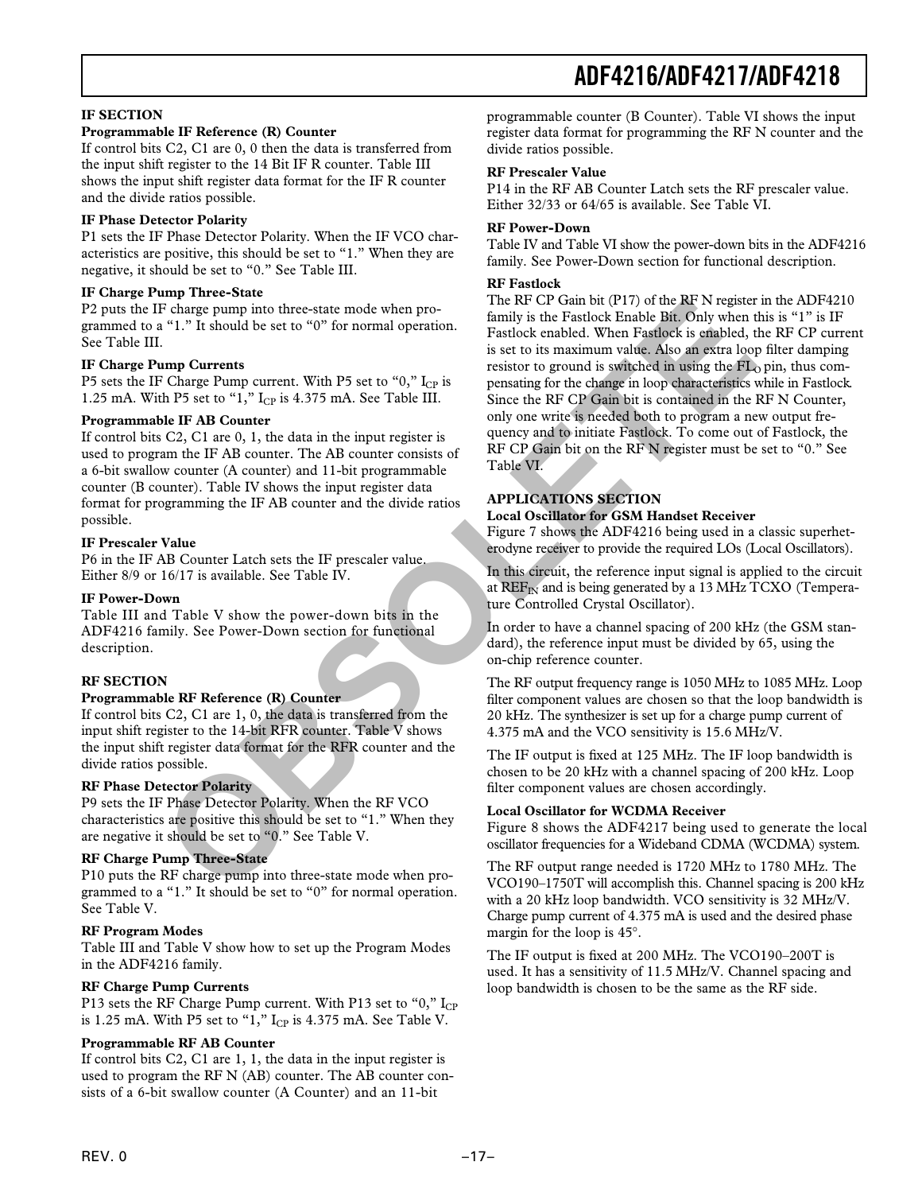### **IF SECTION**

### **Programmable IF Reference (R) Counter**

If control bits C2, C1 are 0, 0 then the data is transferred from the input shift register to the 14 Bit IF R counter. Table III shows the input shift register data format for the IF R counter and the divide ratios possible.

#### **IF Phase Detector Polarity**

P1 sets the IF Phase Detector Polarity. When the IF VCO characteristics are positive, this should be set to "1." When they are negative, it should be set to "0." See Table III.

#### **IF Charge Pump Three-State**

P2 puts the IF charge pump into three-state mode when programmed to a "1." It should be set to "0" for normal operation. See Table III.

#### **IF Charge Pump Currents**

P5 sets the IF Charge Pump current. With P5 set to "0,"  $I_{CP}$  is 1.25 mA. With P5 set to " $1$ ,"  $I_{CP}$  is 4.375 mA. See Table III.

#### **Programmable IF AB Counter**

If control bits C2, C1 are 0, 1, the data in the input register is used to program the IF AB counter. The AB counter consists of a 6-bit swallow counter (A counter) and 11-bit programmable counter (B counter). Table IV shows the input register data format for programming the IF AB counter and the divide ratios possible.

#### **IF Prescaler Value**

P6 in the IF AB Counter Latch sets the IF prescaler value. Either 8/9 or 16/17 is available. See Table IV.

#### **IF Power-Down**

Table III and Table V show the power-down bits in the ADF4216 family. See Power-Down section for functional description.

### **RF SECTION**

#### **Programmable RF Reference (R) Counter**

If control bits C2, C1 are 1, 0, the data is transferred from the input shift register to the 14-bit RFR counter. Table V shows the input shift register data format for the RFR counter and the divide ratios possible.

### **RF Phase Detector Polarity**

P9 sets the IF Phase Detector Polarity. When the RF VCO characteristics are positive this should be set to "1." When they are negative it should be set to "0." See Table V.

#### **RF Charge Pump Three-State**

P10 puts the RF charge pump into three-state mode when programmed to a "1." It should be set to "0" for normal operation. See Table V.

### **RF Program Modes**

Table III and Table V show how to set up the Program Modes in the ADF4216 family.

### **RF Charge Pump Currents**

P13 sets the RF Charge Pump current. With P13 set to "0,"  $I_{CP}$ is 1.25 mA. With P5 set to "1,"  $I_{CP}$  is 4.375 mA. See Table V.

### **Programmable RF AB Counter**

If control bits C2, C1 are 1, 1, the data in the input register is used to program the RF N (AB) counter. The AB counter consists of a 6-bit swallow counter (A Counter) and an 11-bit

programmable counter (B Counter). Table VI shows the input register data format for programming the RF N counter and the divide ratios possible.

### **RF Prescaler Value**

P14 in the RF AB Counter Latch sets the RF prescaler value. Either 32/33 or 64/65 is available. See Table VI.

#### **RF Power-Down**

Table IV and Table VI show the power-down bits in the ADF4216 family. See Power-Down section for functional description.

#### **RF Fastlock**

The RF CP Gain bit (P17) of the RF N register in the ADF4210 family is the Fastlock Enable Bit. Only when this is "1" is IF Fastlock enabled. When Fastlock is enabled, the RF CP current is set to its maximum value. Also an extra loop filter damping resistor to ground is switched in using the  $FL<sub>0</sub>$  pin, thus compensating for the change in loop characteristics while in Fastlock. Since the RF CP Gain bit is contained in the RF N Counter, only one write is needed both to program a new output frequency and to initiate Fastlock. To come out of Fastlock, the RF CP Gain bit on the RF N register must be set to "0." See Table VI. **Example the set of CA and the set of CA and the RF Negister and the set of "0" for normal operation. Factor is and the set of the set of the set of the set of the set of the set of the set of the set of the set of the se** 

# **APPLICATIONS SECTION**

# **Local Oscillator for GSM Handset Receiver**

Figure 7 shows the ADF4216 being used in a classic superheterodyne receiver to provide the required LOs (Local Oscillators).

In this circuit, the reference input signal is applied to the circuit at  $REF_{IN}$  and is being generated by a 13 MHz TCXO (Temperature Controlled Crystal Oscillator).

In order to have a channel spacing of 200 kHz (the GSM standard), the reference input must be divided by 65, using the on-chip reference counter.

The RF output frequency range is 1050 MHz to 1085 MHz. Loop filter component values are chosen so that the loop bandwidth is 20 kHz. The synthesizer is set up for a charge pump current of 4.375 mA and the VCO sensitivity is 15.6 MHz/V.

The IF output is fixed at 125 MHz. The IF loop bandwidth is chosen to be 20 kHz with a channel spacing of 200 kHz. Loop filter component values are chosen accordingly.

### **Local Oscillator for WCDMA Receiver**

Figure 8 shows the ADF4217 being used to generate the local oscillator frequencies for a Wideband CDMA (WCDMA) system.

The RF output range needed is 1720 MHz to 1780 MHz. The VCO190–1750T will accomplish this. Channel spacing is 200 kHz with a 20 kHz loop bandwidth. VCO sensitivity is 32 MHz/V. Charge pump current of 4.375 mA is used and the desired phase margin for the loop is 45°.

The IF output is fixed at 200 MHz. The VCO190–200T is used. It has a sensitivity of 11.5 MHz/V. Channel spacing and loop bandwidth is chosen to be the same as the RF side.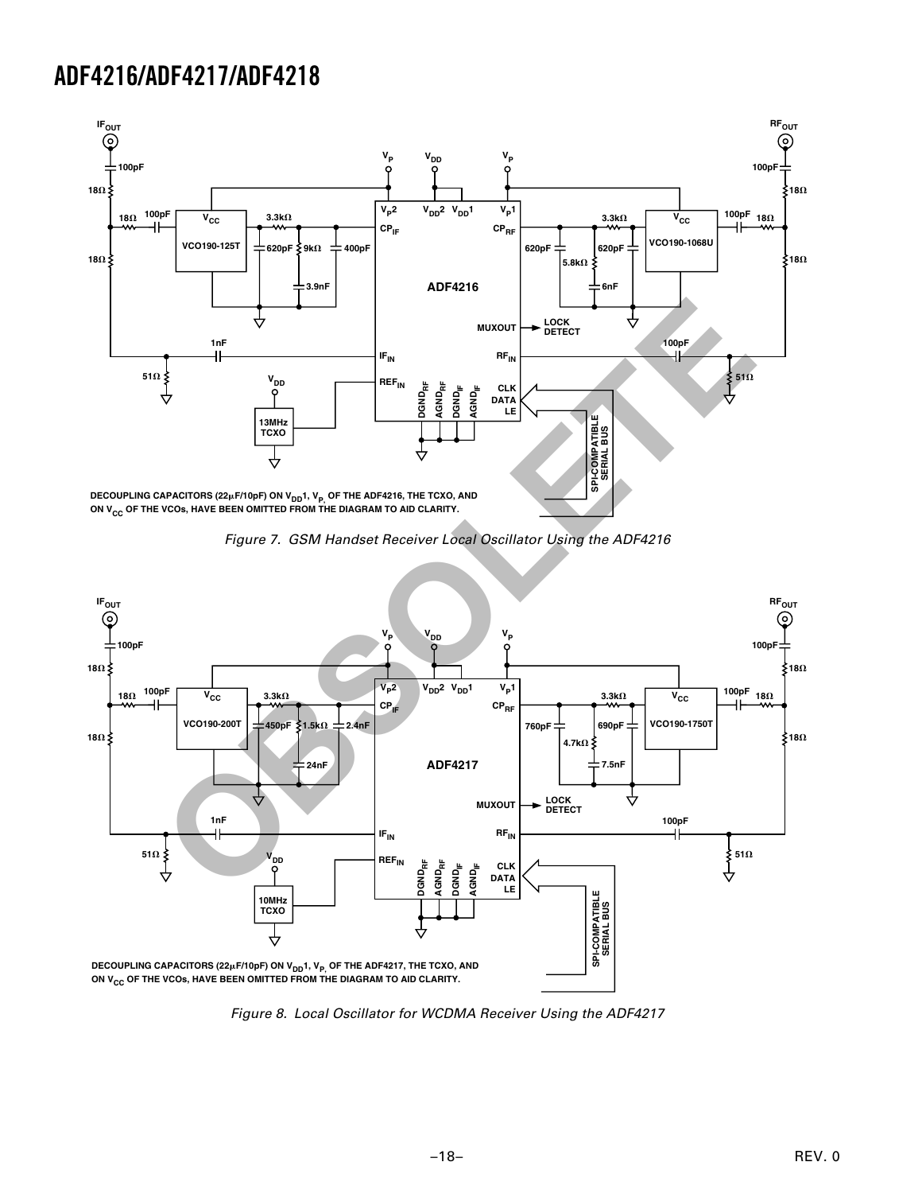

Figure 7. GSM Handset Receiver Local Oscillator Using the ADF4216



Figure 8. Local Oscillator for WCDMA Receiver Using the ADF4217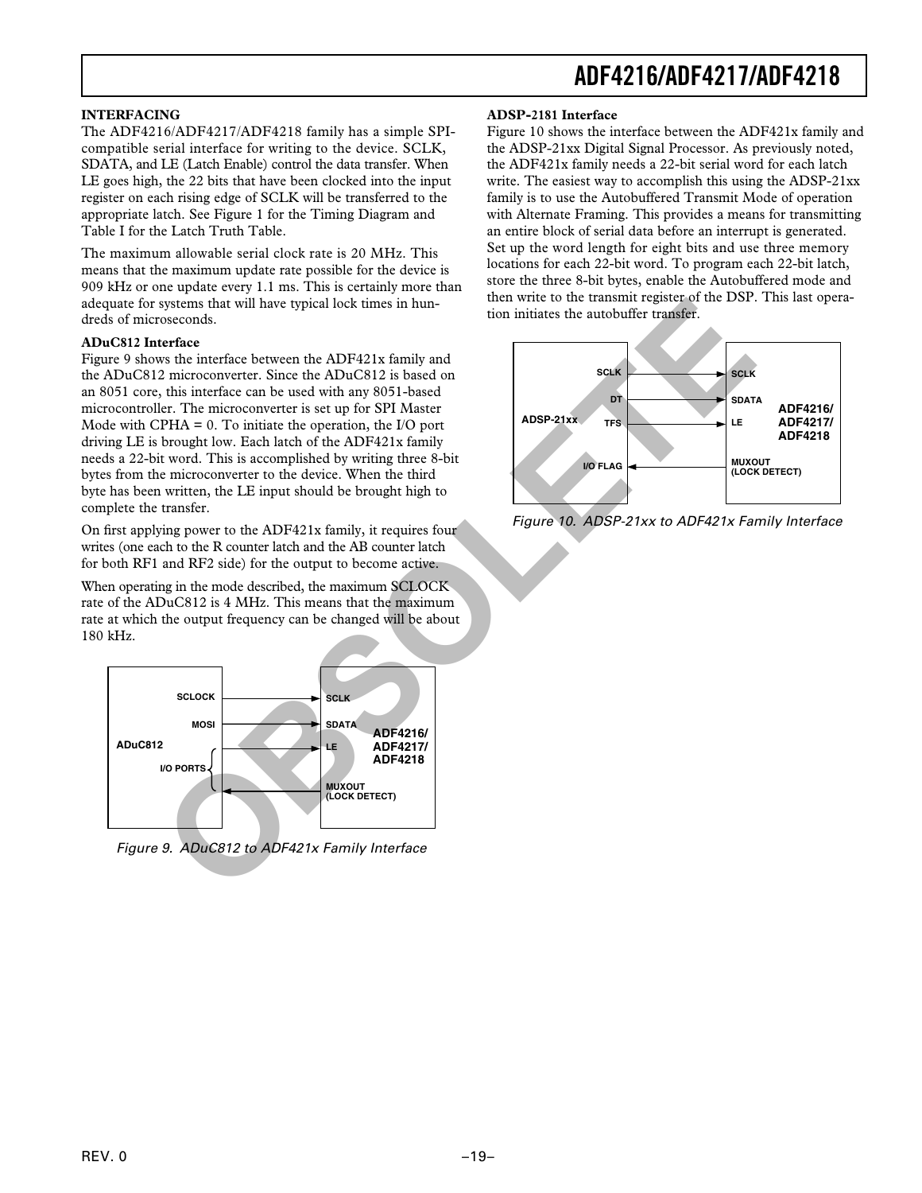### **INTERFACING**

The ADF4216/ADF4217/ADF4218 family has a simple SPIcompatible serial interface for writing to the device. SCLK, SDATA, and LE (Latch Enable) control the data transfer. When LE goes high, the 22 bits that have been clocked into the input register on each rising edge of SCLK will be transferred to the appropriate latch. See Figure 1 for the Timing Diagram and Table I for the Latch Truth Table.

The maximum allowable serial clock rate is 20 MHz. This means that the maximum update rate possible for the device is 909 kHz or one update every 1.1 ms. This is certainly more than adequate for systems that will have typical lock times in hundreds of microseconds.

### **ADuC812 Interface**

Figure 9 shows the interface between the ADF421x family and the ADuC812 microconverter. Since the ADuC812 is based on an 8051 core, this interface can be used with any 8051-based microcontroller. The microconverter is set up for SPI Master Mode with CPHA  $= 0$ . To initiate the operation, the I/O port driving LE is brought low. Each latch of the ADF421x family needs a 22-bit word. This is accomplished by writing three 8-bit bytes from the microconverter to the device. When the third byte has been written, the LE input should be brought high to complete the transfer.

On first applying power to the ADF421x family, it requires four writes (one each to the R counter latch and the AB counter latch for both RF1 and RF2 side) for the output to become active.

When operating in the mode described, the maximum SCLOCK rate of the ADuC812 is 4 MHz. This means that the maximum rate at which the output frequency can be changed will be about 180 kHz.



Figure 9. ADuC812 to ADF421x Family Interface

#### **ADSP-2181 Interface**

Figure 10 shows the interface between the ADF421x family and the ADSP-21xx Digital Signal Processor. As previously noted, the ADF421x family needs a 22-bit serial word for each latch write. The easiest way to accomplish this using the ADSP-21xx family is to use the Autobuffered Transmit Mode of operation with Alternate Framing. This provides a means for transmitting an entire block of serial data before an interrupt is generated. Set up the word length for eight bits and use three memory locations for each 22-bit word. To program each 22-bit latch, store the three 8-bit bytes, enable the Autobuffered mode and then write to the transmit register of the DSP. This last operation initiates the autobuffer transfer.



Figure 10. ADSP-21xx to ADF421x Family Interface